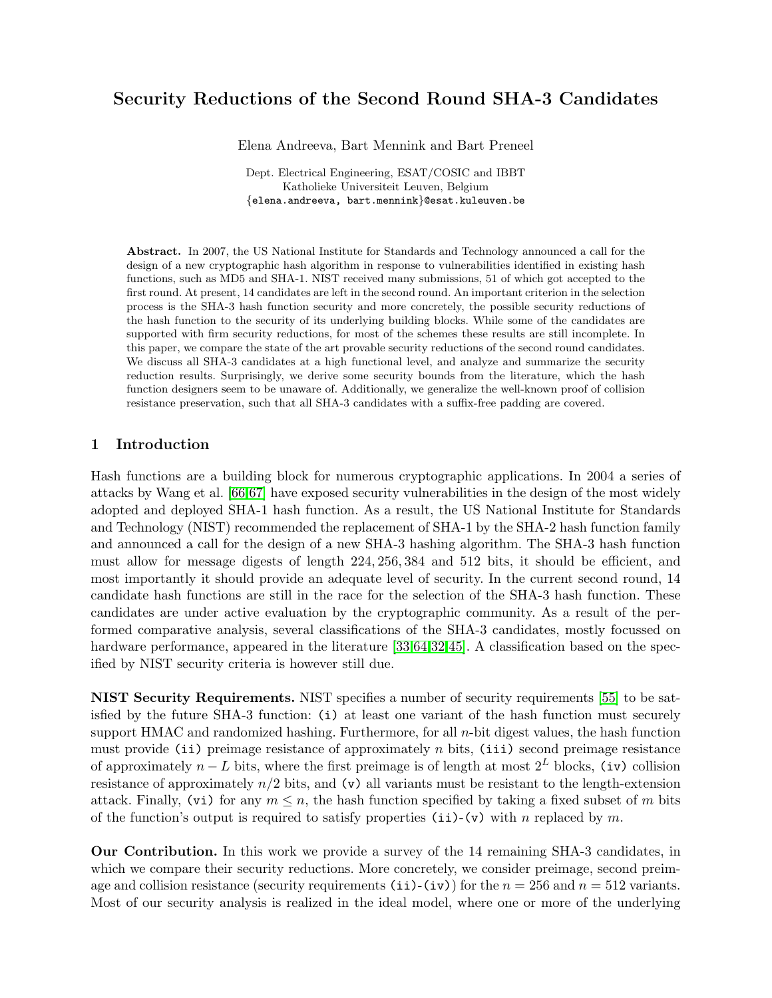# Security Reductions of the Second Round SHA-3 Candidates

Elena Andreeva, Bart Mennink and Bart Preneel

Dept. Electrical Engineering, ESAT/COSIC and IBBT Katholieke Universiteit Leuven, Belgium {elena.andreeva, bart.mennink}@esat.kuleuven.be

Abstract. In 2007, the US National Institute for Standards and Technology announced a call for the design of a new cryptographic hash algorithm in response to vulnerabilities identified in existing hash functions, such as MD5 and SHA-1. NIST received many submissions, 51 of which got accepted to the first round. At present, 14 candidates are left in the second round. An important criterion in the selection process is the SHA-3 hash function security and more concretely, the possible security reductions of the hash function to the security of its underlying building blocks. While some of the candidates are supported with firm security reductions, for most of the schemes these results are still incomplete. In this paper, we compare the state of the art provable security reductions of the second round candidates. We discuss all SHA-3 candidates at a high functional level, and analyze and summarize the security reduction results. Surprisingly, we derive some security bounds from the literature, which the hash function designers seem to be unaware of. Additionally, we generalize the well-known proof of collision resistance preservation, such that all SHA-3 candidates with a suffix-free padding are covered.

# 1 Introduction

Hash functions are a building block for numerous cryptographic applications. In 2004 a series of attacks by Wang et al. [\[66,](#page-14-0)[67\]](#page-14-1) have exposed security vulnerabilities in the design of the most widely adopted and deployed SHA-1 hash function. As a result, the US National Institute for Standards and Technology (NIST) recommended the replacement of SHA-1 by the SHA-2 hash function family and announced a call for the design of a new SHA-3 hashing algorithm. The SHA-3 hash function must allow for message digests of length 224, 256, 384 and 512 bits, it should be efficient, and most importantly it should provide an adequate level of security. In the current second round, 14 candidate hash functions are still in the race for the selection of the SHA-3 hash function. These candidates are under active evaluation by the cryptographic community. As a result of the performed comparative analysis, several classifications of the SHA-3 candidates, mostly focussed on hardware performance, appeared in the literature [\[33,](#page-13-0)[64,](#page-14-2)[32,](#page-13-1)[45\]](#page-14-3). A classification based on the specified by NIST security criteria is however still due.

NIST Security Requirements. NIST specifies a number of security requirements [\[55\]](#page-14-4) to be satisfied by the future SHA-3 function: (i) at least one variant of the hash function must securely support  $HMAC$  and randomized hashing. Furthermore, for all  $n$ -bit digest values, the hash function must provide (ii) preimage resistance of approximately n bits, (iii) second preimage resistance of approximately  $n - L$  bits, where the first preimage is of length at most  $2^L$  blocks, (iv) collision resistance of approximately  $n/2$  bits, and (v) all variants must be resistant to the length-extension attack. Finally, (vi) for any  $m \leq n$ , the hash function specified by taking a fixed subset of m bits of the function's output is required to satisfy properties (ii)-(v) with n replaced by m.

Our Contribution. In this work we provide a survey of the 14 remaining SHA-3 candidates, in which we compare their security reductions. More concretely, we consider preimage, second preimage and collision resistance (security requirements (ii)-(iv)) for the  $n = 256$  and  $n = 512$  variants. Most of our security analysis is realized in the ideal model, where one or more of the underlying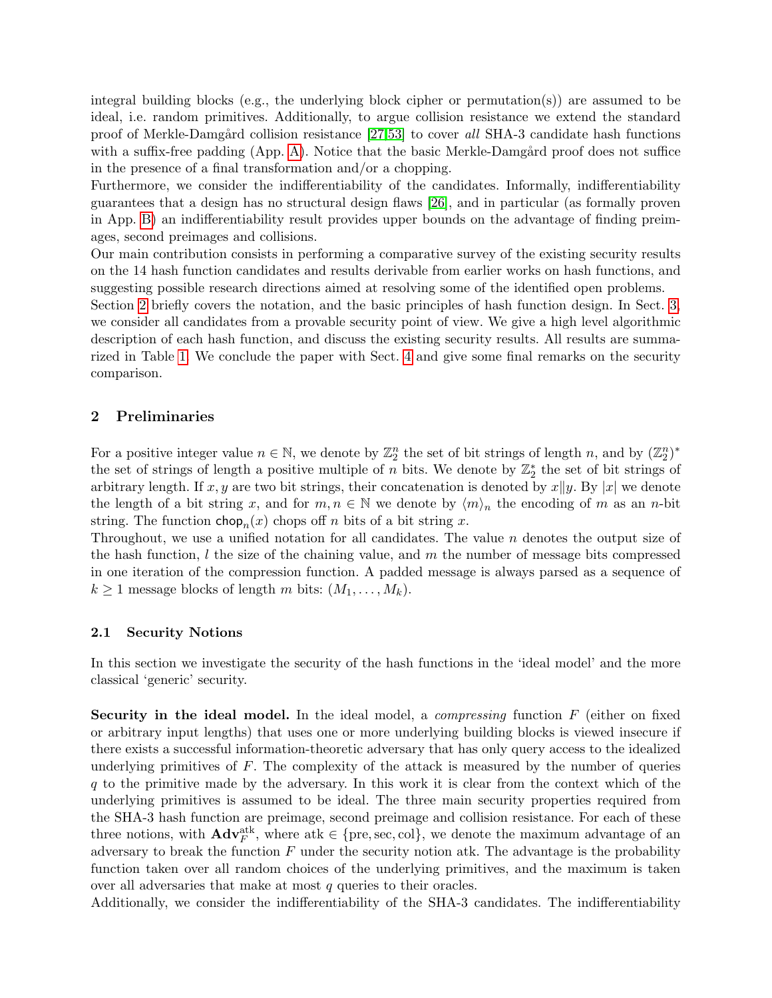integral building blocks (e.g., the underlying block cipher or permutation(s)) are assumed to be ideal, i.e. random primitives. Additionally, to argue collision resistance we extend the standard proof of Merkle-Damgård collision resistance  $[27,53]$  $[27,53]$  to cover all SHA-3 candidate hash functions with a suffix-free padding (App. [A\)](#page-15-0). Notice that the basic Merkle-Damgård proof does not suffice in the presence of a final transformation and/or a chopping.

Furthermore, we consider the indifferentiability of the candidates. Informally, indifferentiability guarantees that a design has no structural design flaws [\[26\]](#page-13-3), and in particular (as formally proven in App. [B\)](#page-16-0) an indifferentiability result provides upper bounds on the advantage of finding preimages, second preimages and collisions.

Our main contribution consists in performing a comparative survey of the existing security results on the 14 hash function candidates and results derivable from earlier works on hash functions, and suggesting possible research directions aimed at resolving some of the identified open problems.

Section [2](#page-1-0) briefly covers the notation, and the basic principles of hash function design. In Sect. [3,](#page-4-0) we consider all candidates from a provable security point of view. We give a high level algorithmic description of each hash function, and discuss the existing security results. All results are summarized in Table [1.](#page-12-0) We conclude the paper with Sect. [4](#page-10-0) and give some final remarks on the security comparison.

## <span id="page-1-0"></span>2 Preliminaries

For a positive integer value  $n \in \mathbb{N}$ , we denote by  $\mathbb{Z}_2^n$  the set of bit strings of length n, and by  $(\mathbb{Z}_2^n)^*$ the set of strings of length a positive multiple of  $n$  bits. We denote by  $\mathbb{Z}_2^*$  the set of bit strings of arbitrary length. If x, y are two bit strings, their concatenation is denoted by  $x||y$ . By |x| we denote the length of a bit string x, and for  $m, n \in \mathbb{N}$  we denote by  $\langle m \rangle_n$  the encoding of m as an n-bit string. The function  $\mathsf{chop}_n(x)$  chops off n bits of a bit string x.

Throughout, we use a unified notation for all candidates. The value n denotes the output size of the hash function,  $l$  the size of the chaining value, and  $m$  the number of message bits compressed in one iteration of the compression function. A padded message is always parsed as a sequence of  $k \geq 1$  message blocks of length m bits:  $(M_1, \ldots, M_k)$ .

#### 2.1 Security Notions

In this section we investigate the security of the hash functions in the 'ideal model' and the more classical 'generic' security.

**Security in the ideal model.** In the ideal model, a *compressing* function  $F$  (either on fixed or arbitrary input lengths) that uses one or more underlying building blocks is viewed insecure if there exists a successful information-theoretic adversary that has only query access to the idealized underlying primitives of  $F$ . The complexity of the attack is measured by the number of queries q to the primitive made by the adversary. In this work it is clear from the context which of the underlying primitives is assumed to be ideal. The three main security properties required from the SHA-3 hash function are preimage, second preimage and collision resistance. For each of these three notions, with  $\mathbf{Adv}_{F}^{\text{atk}}$ , where atk  $\in \{\text{pre}, \text{sec}, \text{col}\},$  we denote the maximum advantage of an adversary to break the function  $F$  under the security notion atk. The advantage is the probability function taken over all random choices of the underlying primitives, and the maximum is taken over all adversaries that make at most  $q$  queries to their oracles.

Additionally, we consider the indifferentiability of the SHA-3 candidates. The indifferentiability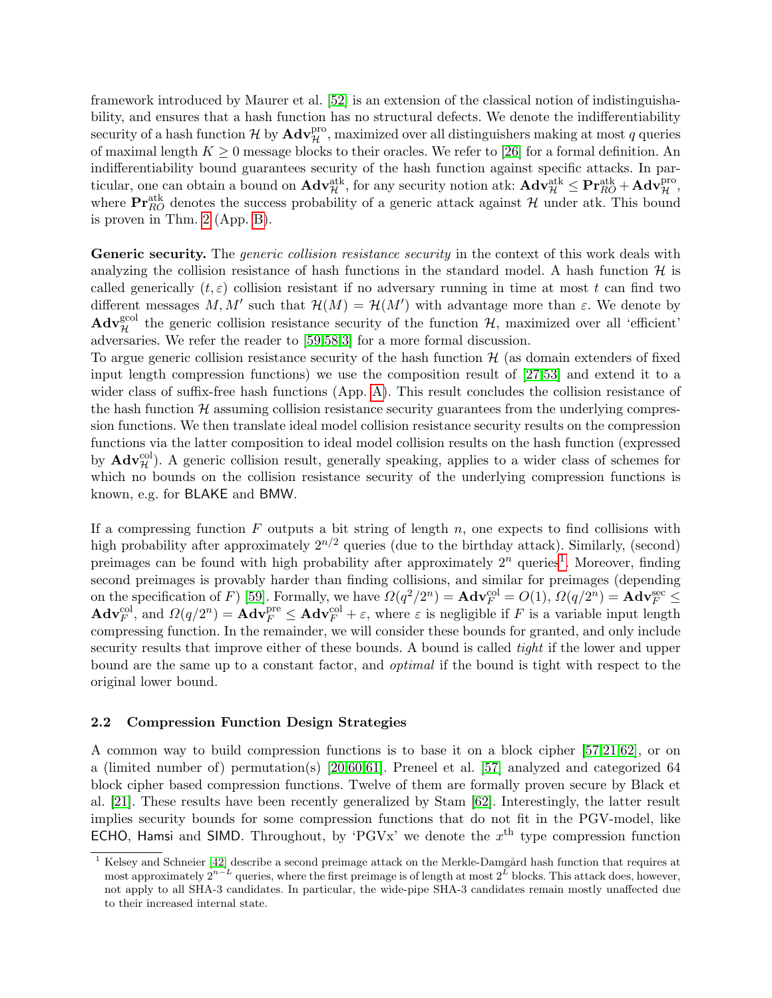framework introduced by Maurer et al. [\[52\]](#page-14-6) is an extension of the classical notion of indistinguishability, and ensures that a hash function has no structural defects. We denote the indifferentiability security of a hash function  $\mathcal H$  by  $\mathbf{Adv}_{\mathcal H}^{\text{pro}}$ , maximized over all distinguishers making at most  $q$  queries of maximal length  $K \geq 0$  message blocks to their oracles. We refer to [\[26\]](#page-13-3) for a formal definition. An indifferentiability bound guarantees security of the hash function against specific attacks. In particular, one can obtain a bound on  $\mathbf{Adv}_{\mathcal{H}}^{\text{atk}},$  for any security notion atk:  $\mathbf{Adv}_{\mathcal{H}}^{\text{atk}} \leq \mathbf{Pr}_{RO}^{\text{atk}} + \mathbf{Adv}_{\mathcal{H}}^{\text{pro}},$ where  $\Pr_{RO}^{\text{atk}}$  denotes the success probability of a generic attack against H under atk. This bound is proven in Thm. [2](#page-16-1) (App. [B\)](#page-16-0).

Generic security. The *generic collision resistance security* in the context of this work deals with analyzing the collision resistance of hash functions in the standard model. A hash function  $\mathcal{H}$  is called generically  $(t, \varepsilon)$  collision resistant if no adversary running in time at most t can find two different messages M, M' such that  $\mathcal{H}(M) = \mathcal{H}(M')$  with advantage more than  $\varepsilon$ . We denote by  $\text{Adv}_{\mathcal{H}}^{\text{gcd}}$  the generic collision resistance security of the function  $\mathcal{H}$ , maximized over all 'efficient' adversaries. We refer the reader to [\[59](#page-14-7)[,58](#page-14-8)[,3\]](#page-13-4) for a more formal discussion.

To argue generic collision resistance security of the hash function  $H$  (as domain extenders of fixed input length compression functions) we use the composition result of [\[27,](#page-13-2)[53\]](#page-14-5) and extend it to a wider class of suffix-free hash functions (App. [A\)](#page-15-0). This result concludes the collision resistance of the hash function  $H$  assuming collision resistance security guarantees from the underlying compression functions. We then translate ideal model collision resistance security results on the compression functions via the latter composition to ideal model collision results on the hash function (expressed by  $\text{Adv}_{\mathcal{H}}^{\text{col}}$ ). A generic collision result, generally speaking, applies to a wider class of schemes for which no bounds on the collision resistance security of the underlying compression functions is known, e.g. for BLAKE and BMW.

If a compressing function  $F$  outputs a bit string of length  $n$ , one expects to find collisions with high probability after approximately  $2^{n/2}$  queries (due to the birthday attack). Similarly, (second) preimages can be found with high probability after approximately  $2^n$  queries<sup>[1](#page-2-0)</sup>. Moreover, finding second preimages is provably harder than finding collisions, and similar for preimages (depending on the specification of F) [\[59\]](#page-14-7). Formally, we have  $\Omega(q^2/2^n) = \mathbf{Adv}_{F}^{\text{col}} = O(1)$ ,  $\Omega(q/2^n) = \mathbf{Adv}_{F}^{\text{sec}} \leq$  $\mathbf{Adv}_{F}^{\text{col}},$  and  $\Omega(q/2^{n}) = \mathbf{Adv}_{F}^{\text{pre}} \leq \mathbf{Adv}_{F}^{\text{col}} + \varepsilon$ , where  $\varepsilon$  is negligible if F is a variable input length compressing function. In the remainder, we will consider these bounds for granted, and only include security results that improve either of these bounds. A bound is called *tight* if the lower and upper bound are the same up to a constant factor, and optimal if the bound is tight with respect to the original lower bound.

#### 2.2 Compression Function Design Strategies

A common way to build compression functions is to base it on a block cipher [\[57,](#page-14-9)[21,](#page-13-5)[62\]](#page-14-10), or on a (limited number of) permutation(s) [\[20](#page-13-6)[,60](#page-14-11)[,61\]](#page-14-12). Preneel et al. [\[57\]](#page-14-9) analyzed and categorized 64 block cipher based compression functions. Twelve of them are formally proven secure by Black et al. [\[21\]](#page-13-5). These results have been recently generalized by Stam [\[62\]](#page-14-10). Interestingly, the latter result implies security bounds for some compression functions that do not fit in the PGV-model, like ECHO, Hamsi and SIMD. Throughout, by 'PGVx' we denote the  $x<sup>th</sup>$  type compression function

<span id="page-2-0"></span> $1$  Kelsey and Schneier [\[42\]](#page-14-13) describe a second preimage attack on the Merkle-Damgård hash function that requires at most approximately  $2^{n-L}$  queries, where the first preimage is of length at most  $2^L$  blocks. This attack does, however, not apply to all SHA-3 candidates. In particular, the wide-pipe SHA-3 candidates remain mostly unaffected due to their increased internal state.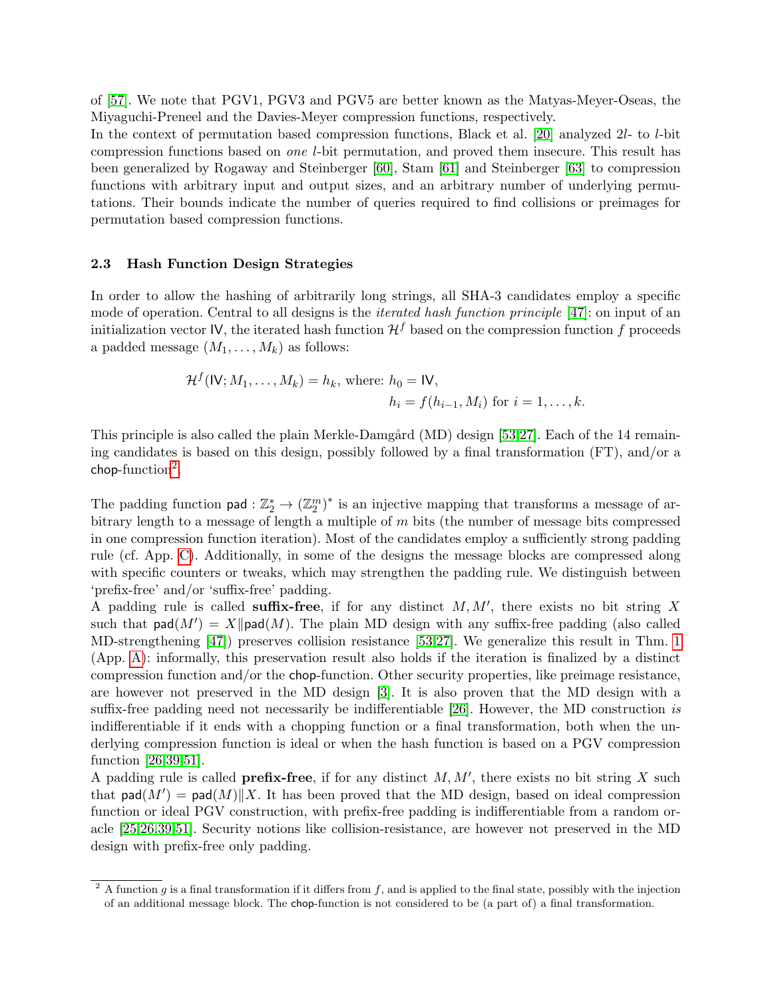of [\[57\]](#page-14-9). We note that PGV1, PGV3 and PGV5 are better known as the Matyas-Meyer-Oseas, the Miyaguchi-Preneel and the Davies-Meyer compression functions, respectively.

In the context of permutation based compression functions, Black et al. [\[20\]](#page-13-6) analyzed 2l- to l-bit compression functions based on one l-bit permutation, and proved them insecure. This result has been generalized by Rogaway and Steinberger [\[60\]](#page-14-11), Stam [\[61\]](#page-14-12) and Steinberger [\[63\]](#page-14-14) to compression functions with arbitrary input and output sizes, and an arbitrary number of underlying permutations. Their bounds indicate the number of queries required to find collisions or preimages for permutation based compression functions.

#### 2.3 Hash Function Design Strategies

In order to allow the hashing of arbitrarily long strings, all SHA-3 candidates employ a specific mode of operation. Central to all designs is the iterated hash function principle [\[47\]](#page-14-15): on input of an initialization vector IV, the iterated hash function  $\mathcal{H}^f$  based on the compression function f proceeds a padded message  $(M_1, \ldots, M_k)$  as follows:

$$
\mathcal{H}^f(\mathsf{IV}; M_1, \dots, M_k) = h_k, \text{ where: } h_0 = \mathsf{IV},
$$
  

$$
h_i = f(h_{i-1}, M_i) \text{ for } i = 1, \dots, k.
$$

This principle is also called the plain Merkle-Damgård (MD) design [\[53,](#page-14-5)[27\]](#page-13-2). Each of the 14 remaining candidates is based on this design, possibly followed by a final transformation (FT), and/or a chop-function<sup>[2](#page-3-0)</sup>.

The padding function pad :  $\mathbb{Z}_2^* \to (\mathbb{Z}_2^m)^*$  is an injective mapping that transforms a message of arbitrary length to a message of length a multiple of  $m$  bits (the number of message bits compressed in one compression function iteration). Most of the candidates employ a sufficiently strong padding rule (cf. App. [C\)](#page-16-2). Additionally, in some of the designs the message blocks are compressed along with specific counters or tweaks, which may strengthen the padding rule. We distinguish between 'prefix-free' and/or 'suffix-free' padding.

A padding rule is called suffix-free, if for any distinct  $M, M'$ , there exists no bit string X such that  $\mathsf{pad}(M') = X \|\mathsf{pad}(M)$ . The plain MD design with any suffix-free padding (also called MD-strengthening [\[47\]](#page-14-15)) preserves collision resistance [\[53,](#page-14-5)[27\]](#page-13-2). We generalize this result in Thm. [1](#page-15-1) (App. [A\)](#page-15-0): informally, this preservation result also holds if the iteration is finalized by a distinct compression function and/or the chop-function. Other security properties, like preimage resistance, are however not preserved in the MD design [\[3\]](#page-13-4). It is also proven that the MD design with a suffix-free padding need not necessarily be indifferentiable [\[26\]](#page-13-3). However, the MD construction is indifferentiable if it ends with a chopping function or a final transformation, both when the underlying compression function is ideal or when the hash function is based on a PGV compression function [\[26,](#page-13-3)[39,](#page-14-16)[51\]](#page-14-17).

A padding rule is called **prefix-free**, if for any distinct  $M, M'$ , there exists no bit string X such that  $\textsf{pad}(M') = \textsf{pad}(M) \| X$ . It has been proved that the MD design, based on ideal compression function or ideal PGV construction, with prefix-free padding is indifferentiable from a random oracle [\[25](#page-13-7)[,26](#page-13-3)[,39](#page-14-16)[,51\]](#page-14-17). Security notions like collision-resistance, are however not preserved in the MD design with prefix-free only padding.

<span id="page-3-0"></span><sup>&</sup>lt;sup>2</sup> A function g is a final transformation if it differs from f, and is applied to the final state, possibly with the injection of an additional message block. The chop-function is not considered to be (a part of) a final transformation.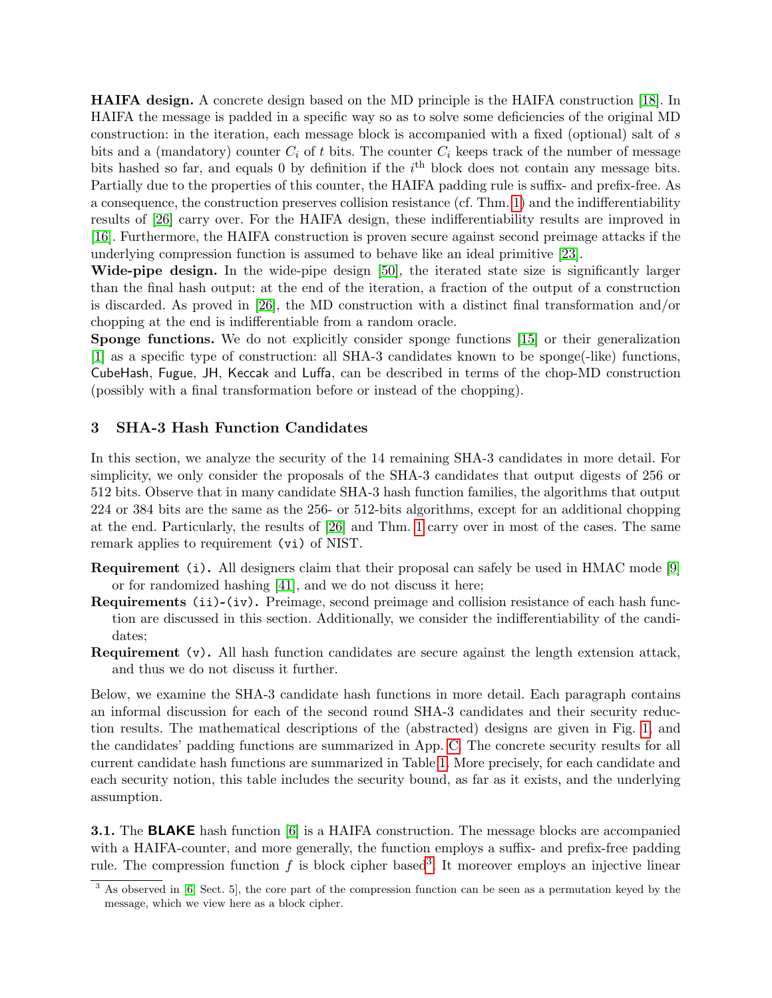HAIFA design. A concrete design based on the MD principle is the HAIFA construction [\[18\]](#page-13-8). In HAIFA the message is padded in a specific way so as to solve some deficiencies of the original MD construction: in the iteration, each message block is accompanied with a fixed (optional) salt of s bits and a (mandatory) counter  $C_i$  of t bits. The counter  $C_i$  keeps track of the number of message bits hashed so far, and equals 0 by definition if the  $i<sup>th</sup>$  block does not contain any message bits. Partially due to the properties of this counter, the HAIFA padding rule is suffix- and prefix-free. As a consequence, the construction preserves collision resistance (cf. Thm. [1\)](#page-15-1) and the indifferentiability results of [\[26\]](#page-13-3) carry over. For the HAIFA design, these indifferentiability results are improved in [\[16\]](#page-13-9). Furthermore, the HAIFA construction is proven secure against second preimage attacks if the underlying compression function is assumed to behave like an ideal primitive [\[23\]](#page-13-10).

Wide-pipe design. In the wide-pipe design [\[50\]](#page-14-18), the iterated state size is significantly larger than the final hash output: at the end of the iteration, a fraction of the output of a construction is discarded. As proved in [\[26\]](#page-13-3), the MD construction with a distinct final transformation and/or chopping at the end is indifferentiable from a random oracle.

Sponge functions. We do not explicitly consider sponge functions [\[15\]](#page-13-11) or their generalization [\[1\]](#page-11-0) as a specific type of construction: all SHA-3 candidates known to be sponge(-like) functions, CubeHash, Fugue, JH, Keccak and Luffa, can be described in terms of the chop-MD construction (possibly with a final transformation before or instead of the chopping).

## <span id="page-4-0"></span>3 SHA-3 Hash Function Candidates

In this section, we analyze the security of the 14 remaining SHA-3 candidates in more detail. For simplicity, we only consider the proposals of the SHA-3 candidates that output digests of 256 or 512 bits. Observe that in many candidate SHA-3 hash function families, the algorithms that output 224 or 384 bits are the same as the 256- or 512-bits algorithms, except for an additional chopping at the end. Particularly, the results of [\[26\]](#page-13-3) and Thm. [1](#page-15-1) carry over in most of the cases. The same remark applies to requirement (vi) of NIST.

- Requirement (i). All designers claim that their proposal can safely be used in HMAC mode [\[9\]](#page-13-12) or for randomized hashing [\[41\]](#page-14-19), and we do not discuss it here;
- Requirements (ii)-(iv). Preimage, second preimage and collision resistance of each hash function are discussed in this section. Additionally, we consider the indifferentiability of the candidates;
- Requirement (v). All hash function candidates are secure against the length extension attack, and thus we do not discuss it further.

Below, we examine the SHA-3 candidate hash functions in more detail. Each paragraph contains an informal discussion for each of the second round SHA-3 candidates and their security reduction results. The mathematical descriptions of the (abstracted) designs are given in Fig. [1,](#page-5-0) and the candidates' padding functions are summarized in App. [C.](#page-16-2) The concrete security results for all current candidate hash functions are summarized in Table [1.](#page-12-0) More precisely, for each candidate and each security notion, this table includes the security bound, as far as it exists, and the underlying assumption.

**3.1.** The **BLAKE** hash function [\[6\]](#page-13-13) is a HAIFA construction. The message blocks are accompanied with a HAIFA-counter, and more generally, the function employs a suffix- and prefix-free padding rule. The compression function  $f$  is block cipher based<sup>[3](#page-4-1)</sup>. It moreover employs an injective linear

<span id="page-4-1"></span><sup>&</sup>lt;sup>3</sup> As observed in [\[6,](#page-13-13) Sect. 5], the core part of the compression function can be seen as a permutation keyed by the message, which we view here as a block cipher.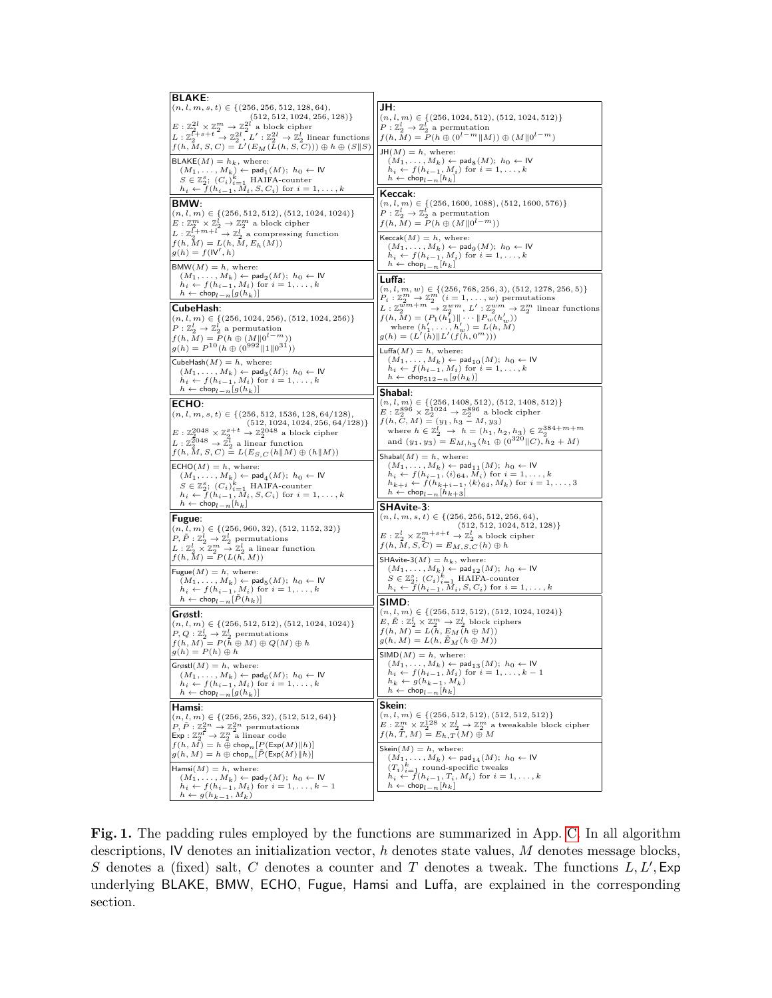| <b>BLAKE:</b>                                                                                                                           |                                                                                                                                                                          |
|-----------------------------------------------------------------------------------------------------------------------------------------|--------------------------------------------------------------------------------------------------------------------------------------------------------------------------|
| $(n, l, m, s, t) \in \{(256, 256, 512, 128, 64),$                                                                                       | JH:                                                                                                                                                                      |
| (512, 512, 1024, 256, 128)                                                                                                              | $(n, l, m) \in \{(256, 1024, 512), (512, 1024, 512)\}\$                                                                                                                  |
| $E: \mathbb{Z}_2^{2l} \times \mathbb{Z}_2^m \to \mathbb{Z}_2^{2l}$ a block cipher                                                       | $P: \mathbb{Z}_2^l \to \mathbb{Z}_2^l$ a permutation                                                                                                                     |
| $L: \mathbb{Z}_2^{l+s+t} \to \mathbb{Z}_2^{2l}, L': \mathbb{Z}_2^{2l} \to \mathbb{Z}_2^{l}$ linear functions                            | $f(h, M) = P(h \oplus (0^{l-m}    M)) \oplus (M    0^{l-m})$                                                                                                             |
| $f(h, M, S, C) = L'(E_M(L(h, S, C))) \oplus h \oplus (S \parallel S)$                                                                   | $JH(M) = h$ , where:                                                                                                                                                     |
| $\mathsf{BLAKE}(M) = h_k$ , where:                                                                                                      | $(M_1,\ldots,M_k) \leftarrow \text{pad}_8(M); h_0 \leftarrow \text{IV}$                                                                                                  |
| $(M_1, \ldots, M_k) \leftarrow \text{pad}_1(M); h_0 \leftarrow \text{IV}$                                                               | $h_i \leftarrow f(h_{i-1}, M_i)$ for $i = 1, \ldots, k$                                                                                                                  |
| $S \in \mathbb{Z}_2^s$ ; $(C_i)_{i=1}^k$ HAIFA-counter                                                                                  | $h \leftarrow \mathsf{chop}_{l-n}[h_k]$                                                                                                                                  |
| $h_i \leftarrow f(h_{i-1}, M_i, S, C_i)$ for $i = 1, , k$                                                                               | Keccak:                                                                                                                                                                  |
| BMW:                                                                                                                                    | $(n, l, m) \in \{(256, 1600, 1088), (512, 1600, 576)\}\$                                                                                                                 |
| $(n, l, m) \in \{(256, 512, 512), (512, 1024, 1024)\}\$                                                                                 | $P: \mathbb{Z}_2^l \to \mathbb{Z}_2^l$ a permutation                                                                                                                     |
| $E: \mathbb{Z}_2^m \times \mathbb{Z}_2^l \to \mathbb{Z}_2^m$ a block cipher                                                             | $f(h, M) = P(h \oplus (M \  0^{l-m}))$                                                                                                                                   |
| $L: \mathbb{Z}_2^{\tilde{l}+m+l^2} \to \mathbb{Z}_2^{l^2}$ a compressing function<br>$f(h, M) = L(h, M, E_h(M))$                        | $\textsf{Keccak}(M) = h$ , where:                                                                                                                                        |
| $g(h) = f(\mathsf{IV}', h)$                                                                                                             | $(M_1, \ldots, M_k) \leftarrow \text{pad}_9(M); h_0 \leftarrow \text{IV}$                                                                                                |
|                                                                                                                                         | $h_i \leftarrow f(h_{i-1}, M_i)$ for $i = 1, \ldots, k$<br>$h \leftarrow \text{chop}_{l-n} [h_k]$                                                                        |
| $BMW(M) = h$ , where:<br>$(M_1,\ldots,M_k) \leftarrow \text{pad}_2(M); h_0 \leftarrow \text{IV}$                                        |                                                                                                                                                                          |
| $h_i \leftarrow f(h_{i-1}, M_i)$ for $i = 1, \ldots, k$                                                                                 | Luffa:                                                                                                                                                                   |
| $h \leftarrow \textsf{chop}_{l-n} [g(h_k)]$                                                                                             | $(n, l, m, w) \in \{(256, 768, 256, 3), (512, 1278, 256, 5)\}\$<br>$P_i: \mathbb{Z}_2^m \to \mathbb{Z}_2^m$ $(i = 1, \ldots, w)$ permutations                            |
| CubeHash:                                                                                                                               | $L:\mathbb{Z}_2^{wm+m} \to \mathbb{Z}_2^{wm}, L':\mathbb{Z}_2^{wm} \to \mathbb{Z}_2^m$ linear functions                                                                  |
| $(n, l, m) \in \{(256, 1024, 256), (512, 1024, 256)\}\$                                                                                 | $f(h, M) = (P_1(h'_1) \  \cdots \  P_w(h'_w))$                                                                                                                           |
| $P: \mathbb{Z}_2^l \to \mathbb{Z}_2^l$ a permutation                                                                                    | where $(h'_1, , h'_w) = L(h, M)$                                                                                                                                         |
| $f(h, M) = P(h \oplus (M \  0^{l-m}))$                                                                                                  | $g(h) = (L'(h)  L'(f(h, 0m)))$                                                                                                                                           |
| $g(h) = P^{10}(h \oplus (0^{992} \ 1\  0^{31}))$                                                                                        | $Luffa(M) = h$ , where:                                                                                                                                                  |
| CubeHash $(M) = h$ , where:                                                                                                             | $(M_1,\ldots,M_k)\leftarrow \mathsf{pad}_{10}(M);\ h_0\leftarrow \mathsf{IV}$                                                                                            |
| $(M_1,\ldots,M_k) \leftarrow \mathsf{pad}_3(M); h_0 \leftarrow \mathsf{IV}$                                                             | $h_i \leftarrow f(h_{i-1}, M_i)$ for $i = 1, \ldots, k$                                                                                                                  |
| $h_i \leftarrow f(h_{i-1}, M_i)$ for $i = 1, \ldots, k$                                                                                 | $h \leftarrow \textsf{chop}_{512-n}[g(h_k)]$                                                                                                                             |
| $h \leftarrow \textsf{chop}_{l-n} [g(h_k)]$                                                                                             | Shabal:                                                                                                                                                                  |
| ECHO:                                                                                                                                   | $(n, l, m) \in \{(256, 1408, 512), (512, 1408, 512)\}\$                                                                                                                  |
| $(n, l, m, s, t) \in \{(256, 512, 1536, 128, 64/128),$                                                                                  | $E: \mathbb{Z}_2^{896} \times \mathbb{Z}_2^{1024} \to \mathbb{Z}_2^{896}$ a block cipher<br>$f(h, C, M) = (y_1, h_3 - M, y_3)$                                           |
| $(512, 1024, 1024, 256, 64/128)\}$<br>$E: \mathbb{Z}_2^{2048} \times \mathbb{Z}_2^{s+t} \rightarrow \mathbb{Z}_2^{2048}$ a block cipher | where $h \in \mathbb{Z}_2^l \rightarrow h = (h_1, h_2, h_3) \in \mathbb{Z}_2^{384+m+m}$                                                                                  |
| $L: \mathbb{Z}_2^{2048} \to \mathbb{Z}_2^l$ a linear function                                                                           | and $(y_1, y_3) = E_{M, h_3}(h_1 \oplus (0^{320}    C), h_2 + M)$                                                                                                        |
| $f(h, M, S, C) = L(E_{S, C}(h  M) \oplus (h  M))$                                                                                       |                                                                                                                                                                          |
|                                                                                                                                         |                                                                                                                                                                          |
|                                                                                                                                         | $\textsf{Shabal}(M) = h$ , where:                                                                                                                                        |
| $\mathsf{ECHO}(M) = h$ , where:                                                                                                         | $(M_1, \ldots, M_k) \leftarrow \text{pad}_{11}(M); h_0 \leftarrow \text{IV}$                                                                                             |
| $(M_1,\ldots,M_k) \leftarrow \mathsf{pad}_4(M); h_0 \leftarrow \mathsf{IV}$                                                             | $h_i \leftarrow f(h_{i-1}, \langle i \rangle_{64}, M_i)$ for $i = 1, \ldots, k$<br>$h_{k+i} \leftarrow f(h_{k+i-1}, \langle k \rangle_{64}, M_k)$ for $i = 1, \ldots, 3$ |
| $S \in \mathbb{Z}_2^s$ ; $(C_i)_{i=1}^k$ HAIFA-counter<br>$h_i \leftarrow f(h_{i-1}, M_i, S, C_i)$ for $i = 1, , k$                     | $h \leftarrow \text{chop}_{l-n} [h_{k+3}]$                                                                                                                               |
| $h \leftarrow \text{chop}_{l-n} [h_k]$                                                                                                  | <b>SHAvite-3:</b>                                                                                                                                                        |
| <b>Fugue:</b>                                                                                                                           | $(n, l, m, s, t) \in \{(256, 256, 512, 256, 64),$                                                                                                                        |
| $(n, l, m) \in \{(256, 960, 32), (512, 1152, 32)\}\$                                                                                    |                                                                                                                                                                          |
| $P, P: \mathbb{Z}_2^l \to \mathbb{Z}_2^l$ permutations                                                                                  | $E: \mathbb{Z}_2^l \times \mathbb{Z}_2^{m+s+t} \rightarrow \mathbb{Z}_2^l \text{ a block cipher}$                                                                        |
|                                                                                                                                         | $f(h, M, S, \overline{C}) = E_{M, S, C}(h) \oplus h$                                                                                                                     |
| $L: \mathbb{Z}_2^l \times \mathbb{Z}_2^m \to \mathbb{Z}_2^l$ a linear function<br>$f(h, M) = P(L(h, M))$                                | $\operatorname{\mathsf{SHArite-3}}(M)=h_k,$ where:                                                                                                                       |
| $Fugue(M) = h$ , where:                                                                                                                 | $(M_1,\ldots,M_k) \leftarrow \text{pad}_{12}(M); h_0 \leftarrow \text{IV}$                                                                                               |
| $(M_1,\ldots,M_k)\leftarrow \text{pad}_5(M);\ h_0\leftarrow \textsf{IV}$                                                                | $S \in \mathbb{Z}_2^s$ ; $(C_i)_{i=1}^k$ HAIFA-counter                                                                                                                   |
| $h_i \leftarrow f(h_{i-1}, M_i)$ for $i = 1, \ldots, k$                                                                                 | $h_i \leftarrow f(h_{i-1}, M_i, S, C_i)$ for $i = 1, , k$                                                                                                                |
| $h \leftarrow \mathsf{chop}_{l-n}[P(h_k)]$                                                                                              | SIMD:                                                                                                                                                                    |
| Grøsti:                                                                                                                                 | $(n, l, m) \in \{(256, 512, 512), (512, 1024, 1024)\}\$                                                                                                                  |
| $(n, l, m) \in \{(256, 512, 512), (512, 1024, 1024)\}\$                                                                                 | $E, \tilde{E}: \mathbb{Z}_2^l \times \mathbb{Z}_2^m \to \mathbb{Z}_2^l$ block ciphers<br>$f(h, M) = L(h, E_M(h \oplus M))$                                               |
| $P, Q: \mathbb{Z}_2^l \to \mathbb{Z}_2^l$ permutations<br>$f(h, M) = P(h \oplus M) \oplus Q(M) \oplus h$                                | $g(h, M) = L(h, E_M(h \oplus M))$                                                                                                                                        |
| $g(h) = P(h) \oplus h$                                                                                                                  |                                                                                                                                                                          |
| $Grøstl(M) = h$ , where:                                                                                                                | $\overline{\mathsf{SIMD}}(M) = h$ , where:<br>$(M_1, \ldots, M_k) \leftarrow \text{pad}_{13}(M); h_0 \leftarrow \text{IV}$                                               |
| $(M_1,\ldots,M_k) \leftarrow \mathsf{pad}_{6}(M); h_0 \leftarrow \mathsf{IV}$                                                           | $h_i \leftarrow f(h_{i-1}, M_i)$ for $i = 1, \ldots, k-1$                                                                                                                |
| $h_i \leftarrow f(h_{i-1}, M_i)$ for $i = 1, \ldots, k$                                                                                 | $h_k \leftarrow g(h_{k-1}, M_k)$                                                                                                                                         |
| $h \leftarrow \mathsf{chop}_{l-n} [g(h_k)]$                                                                                             | $h \leftarrow \textsf{chop}_{l-n} [h_k]$                                                                                                                                 |
| Hamsi:                                                                                                                                  | Skein:                                                                                                                                                                   |
| $(n, l, m) \in \{(256, 256, 32), (512, 512, 64)\}\$                                                                                     | $(n, l, m) \in \{(256, 512, 512), (512, 512, 512)\}\$                                                                                                                    |
| $P, \tilde{P}: \mathbb{Z}_2^{2n} \to \mathbb{Z}_2^{2n}$ permutations                                                                    | $E: \mathbb{Z}_2^m \times \mathbb{Z}_2^{128} \times \mathbb{Z}_2^l \to \mathbb{Z}_2^m$ a tweakable block cipher                                                          |
| $Exp: \mathbb{Z}_2^{n\ell} \to \mathbb{Z}_2^{n}$ a linear code<br>$f(h, M) = h \oplus \text{chop}_n[P(\text{Exp}(M)  h)]$               | $f(h, \tilde{T}, M) \stackrel{\sim}{=} E_{h,T}(M) \oplus M$                                                                                                              |
| $g(h, M) = h \oplus \text{chop}_n[P(\text{Exp}(M)  h)]$                                                                                 | Skein $(M) = h$ , where:<br>$(M_1,\ldots,M_k) \leftarrow \text{pad}_{14}(M); h_0 \leftarrow \text{IV}$                                                                   |
| $\text{Hamsi}(M) = h$ , where:                                                                                                          | $(T_i)_{i=1}^k$ round-specific tweaks                                                                                                                                    |
| $(M_1,\ldots,M_k) \leftarrow \text{pad}_7(M); h_0 \leftarrow \text{IV}$                                                                 | $h_i \leftarrow f(h_{i-1}, T_i, M_i)$ for $i = 1, \ldots, k$                                                                                                             |
| $h_i \leftarrow f(h_{i-1}, M_i)$ for $i = 1, , k - 1$<br>$h \leftarrow g(h_{k-1}, M_k)$                                                 | $h \leftarrow \mathsf{chop}_{l-n} [h_k]$                                                                                                                                 |

<span id="page-5-0"></span>Fig. 1. The padding rules employed by the functions are summarized in App. [C.](#page-16-2) In all algorithm descriptions, IV denotes an initialization vector,  $h$  denotes state values,  $M$  denotes message blocks, S denotes a (fixed) salt, C denotes a counter and T denotes a tweak. The functions  $L, L', \text{Exp}$ underlying BLAKE, BMW, ECHO, Fugue, Hamsi and Luffa, are explained in the corresponding section.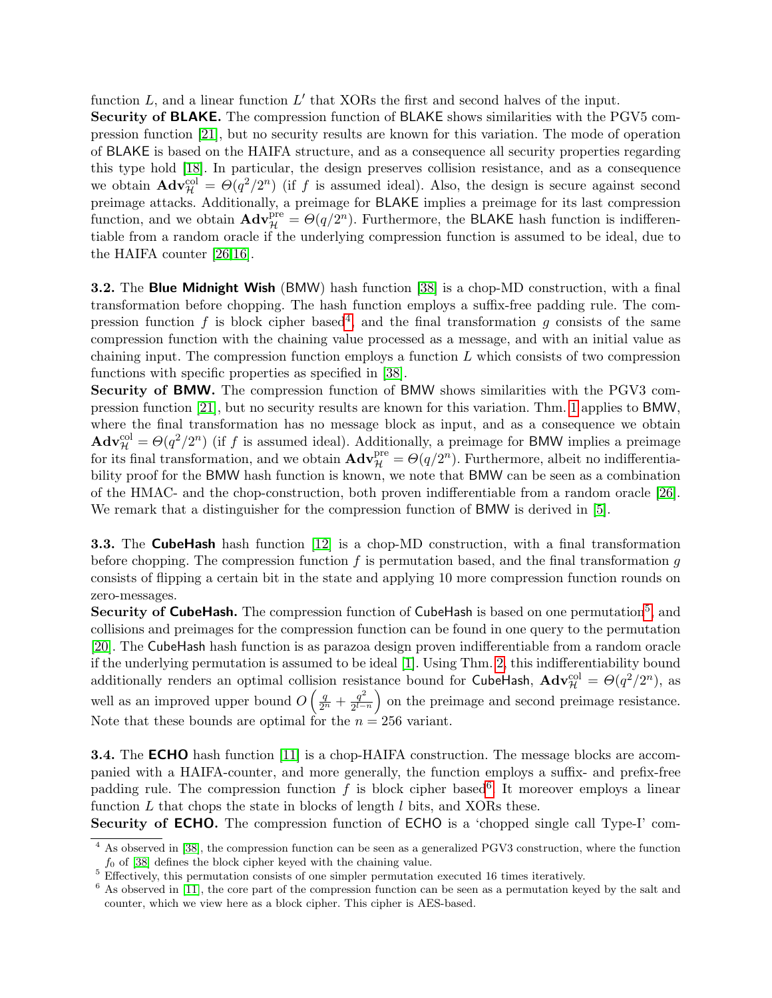function  $L$ , and a linear function  $L'$  that XORs the first and second halves of the input.

Security of BLAKE. The compression function of BLAKE shows similarities with the PGV5 compression function [\[21\]](#page-13-5), but no security results are known for this variation. The mode of operation of BLAKE is based on the HAIFA structure, and as a consequence all security properties regarding this type hold [\[18\]](#page-13-8). In particular, the design preserves collision resistance, and as a consequence we obtain  $\mathbf{Adv}_{\mathcal{H}}^{\text{col}} = \Theta(q^2/2^n)$  (if f is assumed ideal). Also, the design is secure against second preimage attacks. Additionally, a preimage for BLAKE implies a preimage for its last compression function, and we obtain  $\mathbf{Adv}_{\mathcal{H}}^{\text{pre}} = \Theta(q/2^n)$ . Furthermore, the BLAKE hash function is indifferentiable from a random oracle if the underlying compression function is assumed to be ideal, due to the HAIFA counter [\[26,](#page-13-3)[16\]](#page-13-9).

3.2. The Blue Midnight Wish (BMW) hash function [\[38\]](#page-14-20) is a chop-MD construction, with a final transformation before chopping. The hash function employs a suffix-free padding rule. The com-pression function f is block cipher based<sup>[4](#page-6-0)</sup>, and the final transformation g consists of the same compression function with the chaining value processed as a message, and with an initial value as chaining input. The compression function employs a function  $L$  which consists of two compression functions with specific properties as specified in [\[38\]](#page-14-20).

Security of BMW. The compression function of BMW shows similarities with the PGV3 compression function [\[21\]](#page-13-5), but no security results are known for this variation. Thm. [1](#page-15-1) applies to BMW, where the final transformation has no message block as input, and as a consequence we obtain  $\mathbf{Adv}_{\mathcal{H}}^{\text{col}} = \Theta(q^2/2^n)$  (if f is assumed ideal). Additionally, a preimage for BMW implies a preimage for its final transformation, and we obtain  $\mathbf{Adv}_{\mathcal{H}}^{\text{pre}} = \Theta(q/2^n)$ . Furthermore, albeit no indifferentiability proof for the BMW hash function is known, we note that BMW can be seen as a combination of the HMAC- and the chop-construction, both proven indifferentiable from a random oracle [\[26\]](#page-13-3). We remark that a distinguisher for the compression function of BMW is derived in [\[5\]](#page-13-14).

3.3. The CubeHash hash function [\[12\]](#page-13-15) is a chop-MD construction, with a final transformation before chopping. The compression function  $f$  is permutation based, and the final transformation  $g$ consists of flipping a certain bit in the state and applying 10 more compression function rounds on zero-messages.

Security of CubeHash. The compression function of CubeHash is based on one permutation<sup>[5](#page-6-1)</sup>, and collisions and preimages for the compression function can be found in one query to the permutation [\[20\]](#page-13-6). The CubeHash hash function is as parazoa design proven indifferentiable from a random oracle if the underlying permutation is assumed to be ideal [\[1\]](#page-11-0). Using Thm. [2,](#page-16-1) this indifferentiability bound additionally renders an optimal collision resistance bound for CubeHash,  $\mathbf{Adv}_{\mathcal{H}}^{\mathrm{col}} = \Theta(q^2/2^n)$ , as well as an improved upper bound  $O\left(\frac{q}{2^n} + \frac{q^2}{2^{l-1}}\right)$  $\frac{q^2}{2^{l-n}}$  on the preimage and second preimage resistance. Note that these bounds are optimal for the  $n = 256$  variant.

**3.4.** The **ECHO** hash function [\[11\]](#page-13-16) is a chop-HAIFA construction. The message blocks are accompanied with a HAIFA-counter, and more generally, the function employs a suffix- and prefix-free padding rule. The compression function  $f$  is block cipher based<sup>[6](#page-6-2)</sup>. It moreover employs a linear function  $L$  that chops the state in blocks of length  $l$  bits, and XORs these.

Security of ECHO. The compression function of ECHO is a 'chopped single call Type-I' com-

<span id="page-6-0"></span><sup>4</sup> As observed in [\[38\]](#page-14-20), the compression function can be seen as a generalized PGV3 construction, where the function  $f_0$  of [\[38\]](#page-14-20) defines the block cipher keyed with the chaining value.

<span id="page-6-1"></span> $5 \overline{\text{Effectively}}$ , this permutation consists of one simpler permutation executed 16 times iteratively.

<span id="page-6-2"></span> $6$  As observed in [\[11\]](#page-13-16), the core part of the compression function can be seen as a permutation keyed by the salt and counter, which we view here as a block cipher. This cipher is AES-based.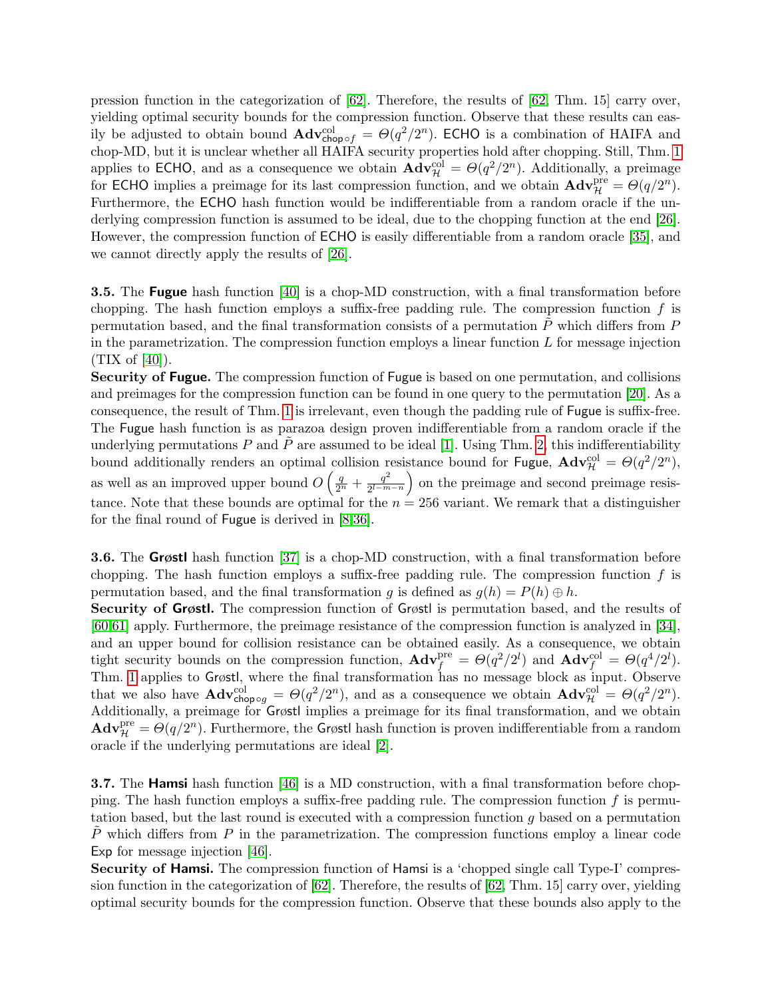pression function in the categorization of [\[62\]](#page-14-10). Therefore, the results of [\[62,](#page-14-10) Thm. 15] carry over, yielding optimal security bounds for the compression function. Observe that these results can easily be adjusted to obtain bound  $\mathbf{Adv}_{\mathsf{chopp} \circ f}^{\text{col}} = \Theta(q^2/2^n)$ . ECHO is a combination of HAIFA and chop-MD, but it is unclear whether all HAIFA security properties hold after chopping. Still, Thm. [1](#page-15-1) applies to ECHO, and as a consequence we obtain  $\mathbf{Adv}_{\mathcal{H}}^{\text{col}} = \Theta(q^2/2^n)$ . Additionally, a preimage for ECHO implies a preimage for its last compression function, and we obtain  $\mathbf{Adv}_{\mathcal{H}}^{\text{pre}} = \Theta(q/2^n)$ . Furthermore, the ECHO hash function would be indifferentiable from a random oracle if the underlying compression function is assumed to be ideal, due to the chopping function at the end [\[26\]](#page-13-3). However, the compression function of ECHO is easily differentiable from a random oracle [\[35\]](#page-13-17), and we cannot directly apply the results of [\[26\]](#page-13-3).

**3.5.** The **Fugue** hash function [\[40\]](#page-14-21) is a chop-MD construction, with a final transformation before chopping. The hash function employs a suffix-free padding rule. The compression function  $f$  is permutation based, and the final transformation consists of a permutation  $\tilde{P}$  which differs from  $P$ in the parametrization. The compression function employs a linear function  $L$  for message injection (TIX of [\[40\]](#page-14-21)).

Security of Fugue. The compression function of Fugue is based on one permutation, and collisions and preimages for the compression function can be found in one query to the permutation [\[20\]](#page-13-6). As a consequence, the result of Thm. [1](#page-15-1) is irrelevant, even though the padding rule of Fugue is suffix-free. The Fugue hash function is as parazoa design proven indifferentiable from a random oracle if the underlying permutations P and  $\tilde{P}$  are assumed to be ideal [\[1\]](#page-11-0). Using Thm. [2,](#page-16-1) this indifferentiability bound additionally renders an optimal collision resistance bound for Fugue,  $\mathbf{Adv}_{\mathcal{H}}^{\text{col}} = \Theta(q^2/2^n)$ , as well as an improved upper bound  $O\left(\frac{q}{2^n} + \frac{q^2}{2^{l-m}}\right)$  $\frac{q^2}{2^{l-m-n}}$  on the preimage and second preimage resistance. Note that these bounds are optimal for the  $n = 256$  variant. We remark that a distinguisher for the final round of Fugue is derived in [\[8](#page-13-18)[,36\]](#page-13-19).

**3.6.** The **Gr**østl hash function [\[37\]](#page-14-22) is a chop-MD construction, with a final transformation before chopping. The hash function employs a suffix-free padding rule. The compression function  $f$  is permutation based, and the final transformation q is defined as  $q(h) = P(h) \oplus h$ .

Security of Grøstl. The compression function of Grøstl is permutation based, and the results of [\[60,](#page-14-11)[61\]](#page-14-12) apply. Furthermore, the preimage resistance of the compression function is analyzed in [\[34\]](#page-13-20), and an upper bound for collision resistance can be obtained easily. As a consequence, we obtain tight security bounds on the compression function,  $\mathbf{Adv}^{\text{pre}}_f = \Theta(q^2/2^l)$  and  $\mathbf{Adv}^{\text{col}}_f = \Theta(q^4/2^l)$ . Thm. [1](#page-15-1) applies to Grøstl, where the final transformation has no message block as input. Observe that we also have  $\mathbf{Adv}_{\mathsf{chop} \circ g}^{\mathsf{col}} = \Theta(q^2/2^n)$ , and as a consequence we obtain  $\mathbf{Adv}_{\mathcal{H}}^{\mathsf{col}} = \Theta(q^2/2^n)$ . Additionally, a preimage for Grøstl implies a preimage for its final transformation, and we obtain  $\mathbf{Adv}_{\mathcal{H}}^{\text{pre}} = \Theta(q/2^n)$ . Furthermore, the Grøstl hash function is proven indifferentiable from a random oracle if the underlying permutations are ideal [\[2\]](#page-11-1).

**3.7.** The **Hamsi** hash function [\[46\]](#page-14-23) is a MD construction, with a final transformation before chopping. The hash function employs a suffix-free padding rule. The compression function  $f$  is permutation based, but the last round is executed with a compression function  $g$  based on a permutation  $\overline{P}$  which differs from P in the parametrization. The compression functions employ a linear code Exp for message injection [\[46\]](#page-14-23).

Security of Hamsi. The compression function of Hamsi is a 'chopped single call Type-I' compression function in the categorization of [\[62\]](#page-14-10). Therefore, the results of [\[62,](#page-14-10) Thm. 15] carry over, yielding optimal security bounds for the compression function. Observe that these bounds also apply to the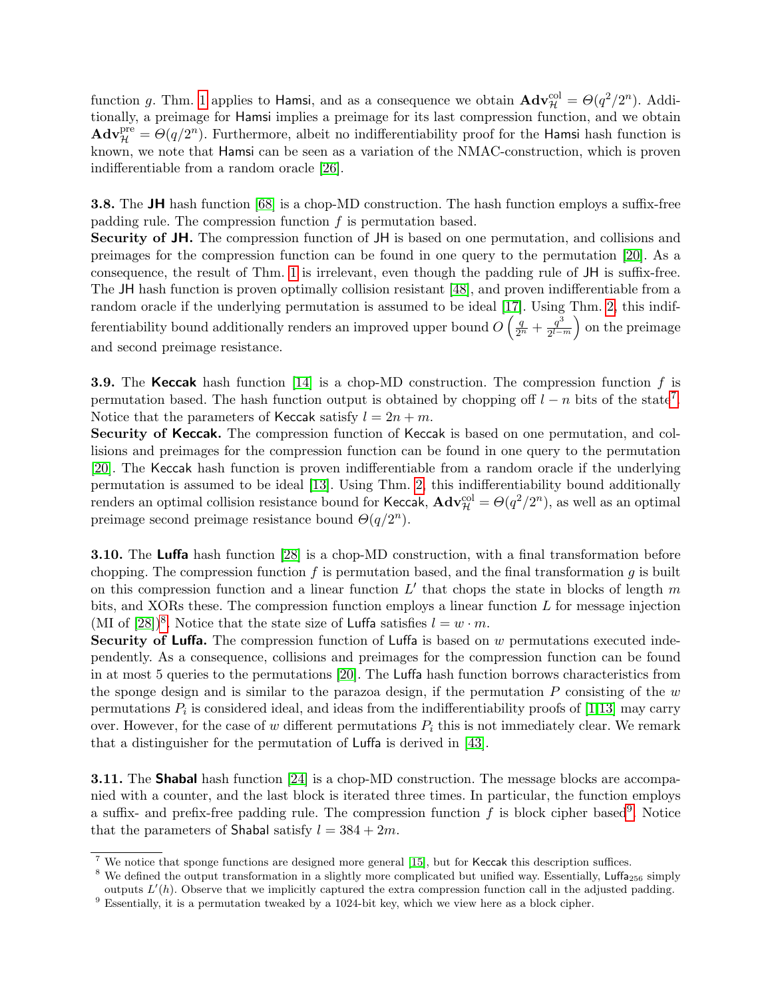function g. Thm. [1](#page-15-1) applies to Hamsi, and as a consequence we obtain  $\mathbf{Adv}_{\mathcal{H}}^{\text{col}} = \Theta(q^2/2^n)$ . Additionally, a preimage for Hamsi implies a preimage for its last compression function, and we obtain  $\mathbf{Adv}_{\mathcal{H}}^{\text{pre}} = \Theta(q/2^n)$ . Furthermore, albeit no indifferentiability proof for the Hamsi hash function is known, we note that Hamsi can be seen as a variation of the NMAC-construction, which is proven indifferentiable from a random oracle [\[26\]](#page-13-3).

3.8. The JH hash function [\[68\]](#page-14-24) is a chop-MD construction. The hash function employs a suffix-free padding rule. The compression function  $f$  is permutation based.

Security of JH. The compression function of JH is based on one permutation, and collisions and preimages for the compression function can be found in one query to the permutation [\[20\]](#page-13-6). As a consequence, the result of Thm. [1](#page-15-1) is irrelevant, even though the padding rule of JH is suffix-free. The JH hash function is proven optimally collision resistant [\[48\]](#page-14-25), and proven indifferentiable from a random oracle if the underlying permutation is assumed to be ideal [\[17\]](#page-13-21). Using Thm. [2,](#page-16-1) this indifferentiability bound additionally renders an improved upper bound  $O\left(\frac{q}{2^n} + \frac{q^3}{2^{l-1}}\right)$  $\frac{q^3}{2^{l-m}}$  on the preimage and second preimage resistance.

**3.9.** The Keccak hash function [\[14\]](#page-13-22) is a chop-MD construction. The compression function f is permutation based. The hash function output is obtained by chopping off  $l - n$  bits of the state<sup>[7](#page-8-0)</sup>. Notice that the parameters of Keccak satisfy  $l = 2n + m$ .

Security of Keccak. The compression function of Keccak is based on one permutation, and collisions and preimages for the compression function can be found in one query to the permutation [\[20\]](#page-13-6). The Keccak hash function is proven indifferentiable from a random oracle if the underlying permutation is assumed to be ideal [\[13\]](#page-13-23). Using Thm. [2,](#page-16-1) this indifferentiability bound additionally renders an optimal collision resistance bound for Keccak,  $\mathbf{Adv}_{\mathcal{H}}^{\mathrm{col}} = \Theta(q^2/2^n)$ , as well as an optimal preimage second preimage resistance bound  $\Theta(q/2^n)$ .

**3.10.** The Luffa hash function [\[28\]](#page-13-24) is a chop-MD construction, with a final transformation before chopping. The compression function f is permutation based, and the final transformation g is built on this compression function and a linear function  $L'$  that chops the state in blocks of length m bits, and XORs these. The compression function employs a linear function  $L$  for message injection (MI of [\[28\]](#page-13-24))<sup>[8](#page-8-1)</sup>. Notice that the state size of Luffa satisfies  $l = w \cdot m$ .

**Security of Luffa.** The compression function of Luffa is based on  $w$  permutations executed independently. As a consequence, collisions and preimages for the compression function can be found in at most 5 queries to the permutations [\[20\]](#page-13-6). The Luffa hash function borrows characteristics from the sponge design and is similar to the parazoa design, if the permutation  $P$  consisting of the  $w$ permutations  $P_i$  is considered ideal, and ideas from the indifferentiability proofs of [\[1,](#page-11-0)[13\]](#page-13-23) may carry over. However, for the case of w different permutations  $P_i$  this is not immediately clear. We remark that a distinguisher for the permutation of Luffa is derived in [\[43\]](#page-14-26).

**3.11.** The **Shabal** hash function [\[24\]](#page-13-25) is a chop-MD construction. The message blocks are accompanied with a counter, and the last block is iterated three times. In particular, the function employs a suffix- and prefix-free padding rule. The compression function  $f$  is block cipher based<sup>[9](#page-8-2)</sup>. Notice that the parameters of Shabal satisfy  $l = 384 + 2m$ .

<span id="page-8-0"></span><sup>7</sup> We notice that sponge functions are designed more general [\[15\]](#page-13-11), but for Keccak this description suffices.

<span id="page-8-1"></span><sup>&</sup>lt;sup>8</sup> We defined the output transformation in a slightly more complicated but unified way. Essentially, Luffa<sub>256</sub> simply outputs  $L'(h)$ . Observe that we implicitly captured the extra compression function call in the adjusted padding.

<span id="page-8-2"></span> $9$  Essentially, it is a permutation tweaked by a 1024-bit key, which we view here as a block cipher.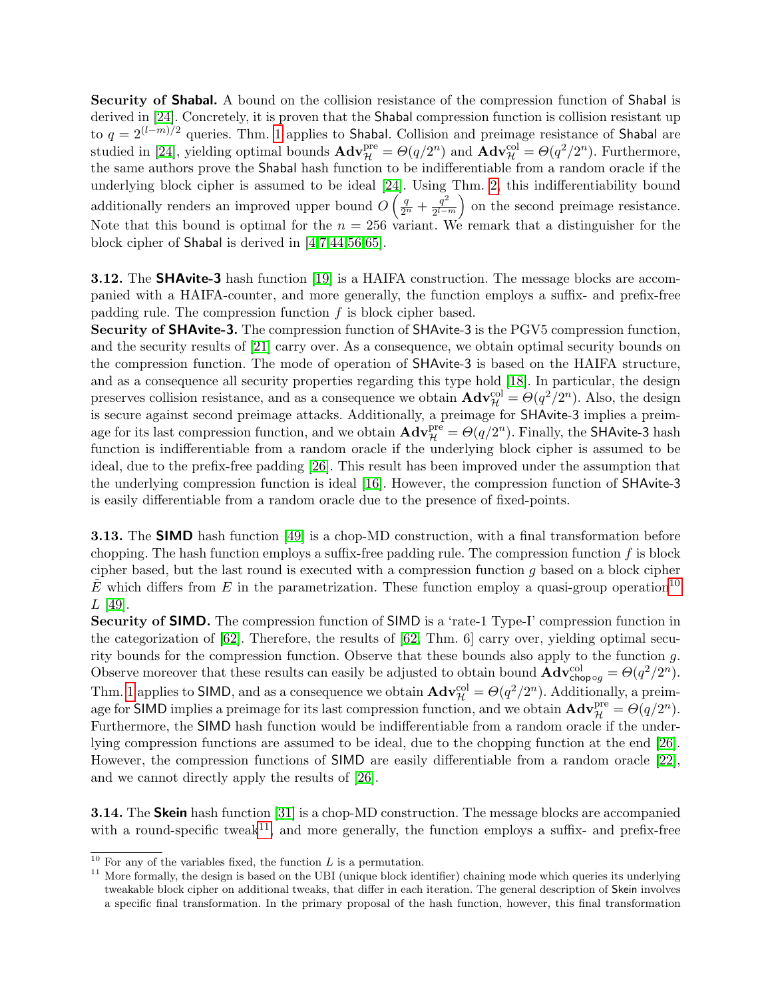Security of Shabal. A bound on the collision resistance of the compression function of Shabal is derived in [\[24\]](#page-13-25). Concretely, it is proven that the Shabal compression function is collision resistant up to  $q = 2^{(l-m)/2}$  queries. Thm. [1](#page-15-1) applies to Shabal. Collision and preimage resistance of Shabal are studied in [\[24\]](#page-13-25), yielding optimal bounds  $\mathbf{Adv}_{\mathcal{H}}^{\text{pre}} = \Theta(q/2^n)$  and  $\mathbf{Adv}_{\mathcal{H}}^{\text{col}} = \Theta(q^2/2^n)$ . Furthermore, the same authors prove the Shabal hash function to be indifferentiable from a random oracle if the underlying block cipher is assumed to be ideal [\[24\]](#page-13-25). Using Thm. [2,](#page-16-1) this indifferentiability bound additionally renders an improved upper bound  $O\left(\frac{q}{2^n} + \frac{q^2}{2^{l-1}}\right)$  $\left(\frac{q^2}{2^{l-m}}\right)$  on the second preimage resistance. Note that this bound is optimal for the  $n = 256$  variant. We remark that a distinguisher for the block cipher of Shabal is derived in [\[4](#page-13-26)[,7,](#page-13-27)[44,](#page-14-27)[56,](#page-14-28)[65\]](#page-14-29).

**3.12.** The **SHAvite-3** hash function [\[19\]](#page-13-28) is a HAIFA construction. The message blocks are accompanied with a HAIFA-counter, and more generally, the function employs a suffix- and prefix-free padding rule. The compression function  $f$  is block cipher based.

Security of SHAvite-3. The compression function of SHAvite-3 is the PGV5 compression function, and the security results of [\[21\]](#page-13-5) carry over. As a consequence, we obtain optimal security bounds on the compression function. The mode of operation of SHAvite-3 is based on the HAIFA structure, and as a consequence all security properties regarding this type hold [\[18\]](#page-13-8). In particular, the design preserves collision resistance, and as a consequence we obtain  $\mathbf{Adv}_{\mathcal{H}}^{\text{col}} = \Theta(q^2/2^n)$ . Also, the design is secure against second preimage attacks. Additionally, a preimage for SHAvite-3 implies a preimage for its last compression function, and we obtain  $\mathbf{Adv}_{\mathcal{H}}^{\text{pre}} = \Theta(q/2^n)$ . Finally, the SHAvite-3 hash function is indifferentiable from a random oracle if the underlying block cipher is assumed to be ideal, due to the prefix-free padding [\[26\]](#page-13-3). This result has been improved under the assumption that the underlying compression function is ideal [\[16\]](#page-13-9). However, the compression function of SHAvite-3 is easily differentiable from a random oracle due to the presence of fixed-points.

**3.13.** The **SIMD** hash function [\[49\]](#page-14-30) is a chop-MD construction, with a final transformation before chopping. The hash function employs a suffix-free padding rule. The compression function  $f$  is block cipher based, but the last round is executed with a compression function  $q$  based on a block cipher E which differs from E in the parametrization. These function employ a quasi-group operation<sup>[10](#page-9-0)</sup> L [\[49\]](#page-14-30).

Security of SIMD. The compression function of SIMD is a 'rate-1 Type-I' compression function in the categorization of [\[62\]](#page-14-10). Therefore, the results of [\[62,](#page-14-10) Thm. 6] carry over, yielding optimal security bounds for the compression function. Observe that these bounds also apply to the function g. Observe moreover that these results can easily be adjusted to obtain bound  $\mathbf{Adv}_{\mathsf{chopog}}^{\mathsf{col}} = \Theta(q^2/2^n)$ . Thm. [1](#page-15-1) applies to SIMD, and as a consequence we obtain  $\mathbf{Adv}_{\mathcal{H}}^{\text{col}} = \Theta(q^2/2^n)$ . Additionally, a preimage for SIMD implies a preimage for its last compression function, and we obtain  $\mathbf{Adv}_{\mathcal{H}}^{\text{pre}} = \Theta(q/2^n)$ . Furthermore, the SIMD hash function would be indifferentiable from a random oracle if the underlying compression functions are assumed to be ideal, due to the chopping function at the end [\[26\]](#page-13-3). However, the compression functions of SIMD are easily differentiable from a random oracle [\[22\]](#page-13-29), and we cannot directly apply the results of [\[26\]](#page-13-3).

**3.14.** The Skein hash function [\[31\]](#page-13-30) is a chop-MD construction. The message blocks are accompanied with a round-specific tweak<sup>[11](#page-9-1)</sup>, and more generally, the function employs a suffix- and prefix-free

<span id="page-9-0"></span><sup>&</sup>lt;sup>10</sup> For any of the variables fixed, the function  $L$  is a permutation.

<span id="page-9-1"></span> $11$  More formally, the design is based on the UBI (unique block identifier) chaining mode which queries its underlying tweakable block cipher on additional tweaks, that differ in each iteration. The general description of Skein involves a specific final transformation. In the primary proposal of the hash function, however, this final transformation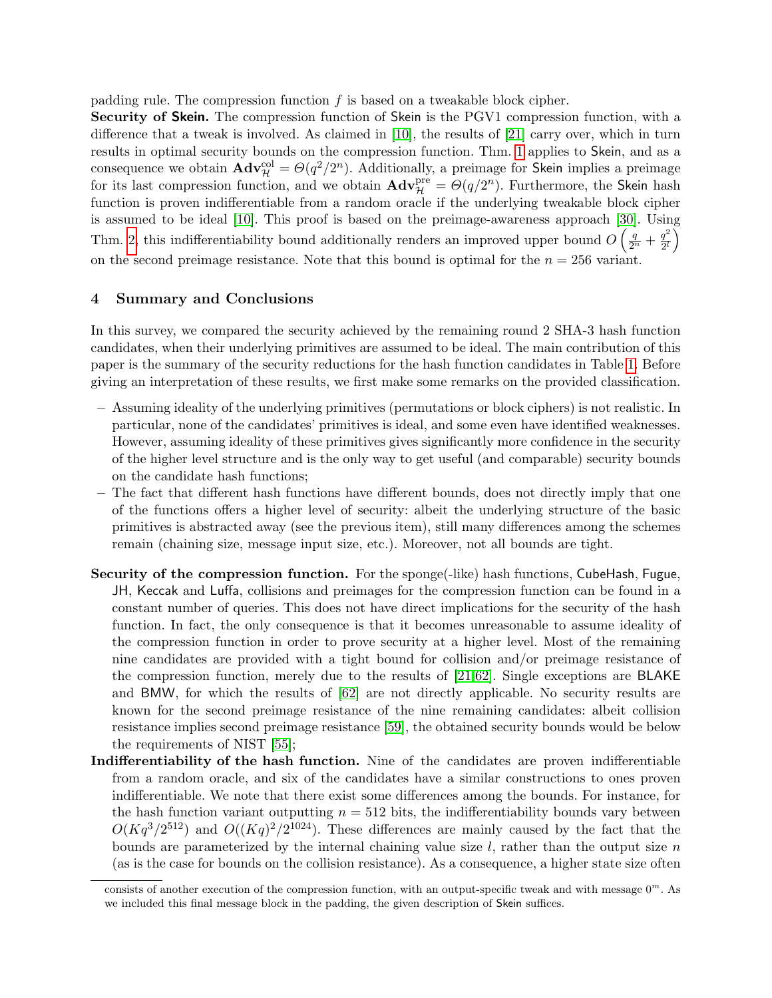padding rule. The compression function  $f$  is based on a tweakable block cipher.

Security of Skein. The compression function of Skein is the PGV1 compression function, with a difference that a tweak is involved. As claimed in [\[10\]](#page-13-31), the results of [\[21\]](#page-13-5) carry over, which in turn results in optimal security bounds on the compression function. Thm. [1](#page-15-1) applies to Skein, and as a consequence we obtain  $\mathbf{Adv}_{\mathcal{H}}^{\text{col}} = \Theta(q^2/2^n)$ . Additionally, a preimage for Skein implies a preimage for its last compression function, and we obtain  $\mathbf{Adv}_{\mathcal{H}}^{\text{pre}} = \Theta(q/2^n)$ . Furthermore, the Skein hash function is proven indifferentiable from a random oracle if the underlying tweakable block cipher is assumed to be ideal [\[10\]](#page-13-31). This proof is based on the preimage-awareness approach [\[30\]](#page-13-32). Using Thm. [2,](#page-16-1) this indifferentiability bound additionally renders an improved upper bound  $O\left(\frac{q}{2^n} + \frac{q^2}{2^l}\right)$  $\frac{q^2}{2^l}\bigg)$ on the second preimage resistance. Note that this bound is optimal for the  $n = 256$  variant.

#### <span id="page-10-0"></span>4 Summary and Conclusions

In this survey, we compared the security achieved by the remaining round 2 SHA-3 hash function candidates, when their underlying primitives are assumed to be ideal. The main contribution of this paper is the summary of the security reductions for the hash function candidates in Table [1.](#page-12-0) Before giving an interpretation of these results, we first make some remarks on the provided classification.

- Assuming ideality of the underlying primitives (permutations or block ciphers) is not realistic. In particular, none of the candidates' primitives is ideal, and some even have identified weaknesses. However, assuming ideality of these primitives gives significantly more confidence in the security of the higher level structure and is the only way to get useful (and comparable) security bounds on the candidate hash functions;
- The fact that different hash functions have different bounds, does not directly imply that one of the functions offers a higher level of security: albeit the underlying structure of the basic primitives is abstracted away (see the previous item), still many differences among the schemes remain (chaining size, message input size, etc.). Moreover, not all bounds are tight.
- Security of the compression function. For the sponge(-like) hash functions, CubeHash, Fugue, JH, Keccak and Luffa, collisions and preimages for the compression function can be found in a constant number of queries. This does not have direct implications for the security of the hash function. In fact, the only consequence is that it becomes unreasonable to assume ideality of the compression function in order to prove security at a higher level. Most of the remaining nine candidates are provided with a tight bound for collision and/or preimage resistance of the compression function, merely due to the results of [\[21,](#page-13-5)[62\]](#page-14-10). Single exceptions are BLAKE and BMW, for which the results of [\[62\]](#page-14-10) are not directly applicable. No security results are known for the second preimage resistance of the nine remaining candidates: albeit collision resistance implies second preimage resistance [\[59\]](#page-14-7), the obtained security bounds would be below the requirements of NIST [\[55\]](#page-14-4);
- Indifferentiability of the hash function. Nine of the candidates are proven indifferentiable from a random oracle, and six of the candidates have a similar constructions to ones proven indifferentiable. We note that there exist some differences among the bounds. For instance, for the hash function variant outputting  $n = 512$  bits, the indifferentiability bounds vary between  $O(Kq^3/2^{512})$  and  $O((Kq)^2/2^{1024})$ . These differences are mainly caused by the fact that the bounds are parameterized by the internal chaining value size  $l$ , rather than the output size  $n$ (as is the case for bounds on the collision resistance). As a consequence, a higher state size often

consists of another execution of the compression function, with an output-specific tweak and with message  $0^m$ . As we included this final message block in the padding, the given description of Skein suffices.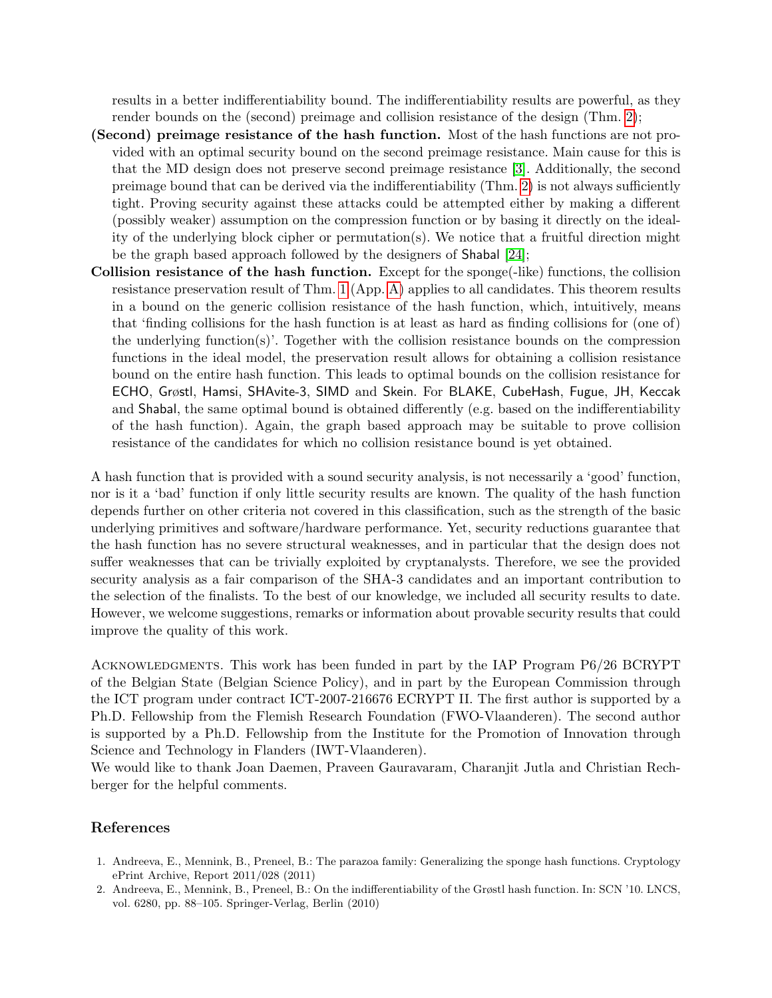results in a better indifferentiability bound. The indifferentiability results are powerful, as they render bounds on the (second) preimage and collision resistance of the design (Thm. [2\)](#page-16-1);

- (Second) preimage resistance of the hash function. Most of the hash functions are not provided with an optimal security bound on the second preimage resistance. Main cause for this is that the MD design does not preserve second preimage resistance [\[3\]](#page-13-4). Additionally, the second preimage bound that can be derived via the indifferentiability (Thm. [2\)](#page-16-1) is not always sufficiently tight. Proving security against these attacks could be attempted either by making a different (possibly weaker) assumption on the compression function or by basing it directly on the ideality of the underlying block cipher or permutation(s). We notice that a fruitful direction might be the graph based approach followed by the designers of Shabal [\[24\]](#page-13-25);
- Collision resistance of the hash function. Except for the sponge(-like) functions, the collision resistance preservation result of Thm. [1](#page-15-1) (App. [A\)](#page-15-0) applies to all candidates. This theorem results in a bound on the generic collision resistance of the hash function, which, intuitively, means that 'finding collisions for the hash function is at least as hard as finding collisions for (one of) the underlying function(s)'. Together with the collision resistance bounds on the compression functions in the ideal model, the preservation result allows for obtaining a collision resistance bound on the entire hash function. This leads to optimal bounds on the collision resistance for ECHO, Grøstl, Hamsi, SHAvite-3, SIMD and Skein. For BLAKE, CubeHash, Fugue, JH, Keccak and Shabal, the same optimal bound is obtained differently (e.g. based on the indifferentiability of the hash function). Again, the graph based approach may be suitable to prove collision resistance of the candidates for which no collision resistance bound is yet obtained.

A hash function that is provided with a sound security analysis, is not necessarily a 'good' function, nor is it a 'bad' function if only little security results are known. The quality of the hash function depends further on other criteria not covered in this classification, such as the strength of the basic underlying primitives and software/hardware performance. Yet, security reductions guarantee that the hash function has no severe structural weaknesses, and in particular that the design does not suffer weaknesses that can be trivially exploited by cryptanalysts. Therefore, we see the provided security analysis as a fair comparison of the SHA-3 candidates and an important contribution to the selection of the finalists. To the best of our knowledge, we included all security results to date. However, we welcome suggestions, remarks or information about provable security results that could improve the quality of this work.

ACKNOWLEDGMENTS. This work has been funded in part by the IAP Program P6/26 BCRYPT of the Belgian State (Belgian Science Policy), and in part by the European Commission through the ICT program under contract ICT-2007-216676 ECRYPT II. The first author is supported by a Ph.D. Fellowship from the Flemish Research Foundation (FWO-Vlaanderen). The second author is supported by a Ph.D. Fellowship from the Institute for the Promotion of Innovation through Science and Technology in Flanders (IWT-Vlaanderen).

We would like to thank Joan Daemen, Praveen Gauravaram, Charanjit Jutla and Christian Rechberger for the helpful comments.

## References

- <span id="page-11-0"></span>1. Andreeva, E., Mennink, B., Preneel, B.: The parazoa family: Generalizing the sponge hash functions. Cryptology ePrint Archive, Report 2011/028 (2011)
- <span id="page-11-1"></span>2. Andreeva, E., Mennink, B., Preneel, B.: On the indifferentiability of the Grøstl hash function. In: SCN '10. LNCS, vol. 6280, pp. 88–105. Springer-Verlag, Berlin (2010)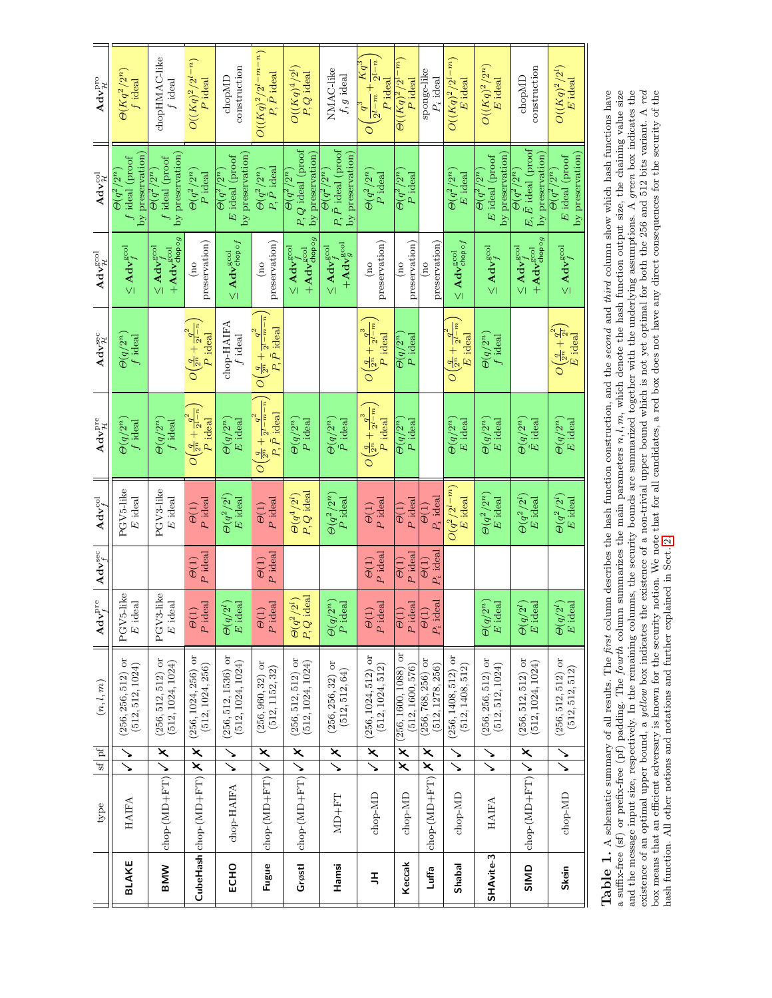| $\mathbf{Adv}^{\mathrm{pro}}_{\mathcal{H}}$ | $\Theta(Kq^2/2^n)$<br>$f$ ideal                                          | chopHMAC-like<br>$f$ ideal                                                                   | $O((Kq)^2/2^{l-n})$<br>P ideal                                   | construction<br>chopMD                                      | $O((Kq)^2/2^{l-m-n})$<br>$P, \tilde{P}$ ideal                                 | $O((Kq)^4/2^l$<br>$P,Q$ ideal                                                                        | NMAC-like<br>$f, g$ ideal                                         | $O\left(\frac{q^3}{2^{l-m}}+\frac{Kq^3}{2^{l-n}}\right)$<br>$P$ ideal | $\Theta((Kq)^2/2^{l-m})$<br>$P$ ideal              | sponge-like<br>$P_i$ ideal                         | $O((Kq)^2/2^{l-m})$<br>E ideal                                   | $O((Kq)^2/2^n)$ $E$ ideal                                         | construction<br>chopMD                                                                   | $O((Kq)^2/2^l)$<br>$E$ ideal                               |
|---------------------------------------------|--------------------------------------------------------------------------|----------------------------------------------------------------------------------------------|------------------------------------------------------------------|-------------------------------------------------------------|-------------------------------------------------------------------------------|------------------------------------------------------------------------------------------------------|-------------------------------------------------------------------|-----------------------------------------------------------------------|----------------------------------------------------|----------------------------------------------------|------------------------------------------------------------------|-------------------------------------------------------------------|------------------------------------------------------------------------------------------|------------------------------------------------------------|
| $\mathbf{Adv}^\mathrm{col}_\mathcal{H}$     | by preservation)<br>$f$ ideal (proof<br>$\sqrt{q^2/2^n}$<br>$\Theta(q^2$ | by preservation<br>$f$ ideal (proof<br>$\Theta(q^2/2^n)$                                     | $\Theta(q^2/2^n)$<br>$P$ ideal                                   | E ideal (proof<br>by preservation<br>$\Theta(q^2/2^n)$      | $\frac{\Theta(q^2/2^n)}{P, \tilde{P} }$ ideal                                 | $P, Q$ ideal (proof<br>by preservation)<br>$\Theta(q^2/2^n)$                                         | P, P ideal (proof<br>by preservation)<br>$\Theta(q^2/2^n)$        | $\Theta(q^2/2^n)$<br>$P$ ideal                                        | $\Theta(q^2/2^n)$<br>P ideal                       |                                                    | $\Theta(q^2/2^n)$<br>E ideal                                     | by preservation<br>E ideal (proof<br>$\overline{\Theta(q^2/2^n)}$ | $E, \overline{E}$ ideal (proof<br>by preservation)<br>$\Theta(q^2/2^n)$                  | by preservation<br>E ideal (proof<br>$\Theta(q^2/2^n)$     |
| $\mathbf{Adv}^{\mathrm{gcd}}_{\mathcal{H}}$ | $\leq \mathbf{Adv}^\mathrm{gcol}_\mathrm{\textbf{f}}$                    | $-4Ad{\bf v}^{2{\rm col}}_{\rm chop \, og}.$<br>$\leq \mathbf{Adv}^\mathrm{gcol}_\mathrm{f}$ | preservation)<br>$\int$                                          | $\leq \mathbf{Adv}^{\mathrm{gcol}}_{\mathsf{chop} \circ f}$ | preservation)<br>$\sin$                                                       | $+{\bf A} {\bf d} {\bf v}^{\rm gcol}_{\rm chop \, og}$<br>$\leq \mathbf{Adv}^\mathrm{gcol}_\epsilon$ | $+{\bf Adv}_g^{\rm gcol}$<br>$\leq {\bf A} {\bf dv}^{\rm geo.}_4$ | preservation)<br>$\sin$                                               | preservation)<br>$\sin$                            | preservation)<br>ou)                               | $\leq \mathbf{Adv}^{\mathrm{gcd}}_{\mathrm{chop} \circ f}$       | $\leq$ Adv $_f^{\rm geol}$                                        | $+{\bf Adv}^{\rm gcol}_{\rm chop \, og}$<br>$\leq \mathbf{Adv}^\mathrm{gcol}_\mathrm{f}$ | $\leq \mathbf{Adv}^{\mathrm{gcd}}_f$                       |
| $\mathbf{Adv}^{\text{sec}}_{\mathcal{H}}$   | $\Theta(q/2^n)$<br>$\boldsymbol{f}$ ideal                                |                                                                                              | $O\left(\frac{q}{2^n} + \frac{q^2}{2^{1-n}}\right)$<br>P ideal   | chop-HAIFA<br>f ideal                                       | $O\left(\frac{q}{2^n} + \frac{q^2}{2^{1-m-n}}\right)$<br>P. P ideal           |                                                                                                      |                                                                   | $O\left(\frac{q}{2^n} + \frac{q^3}{2^{l-m}}\right)$<br>P ideal        | $\Theta(q/2^n)$<br>$P$ ideal                       |                                                    | $O\left(\frac{q}{2^n} + \frac{q^2}{2^{1-m}}\right)$<br>$E$ ideal | $\frac{\Theta(q/2^n)}{f \text{ ideal}}$                           |                                                                                          | $O\left(\frac{q}{2^n} + \frac{q^2}{2^1}\right)$<br>E ideal |
| $\mathbf{Adv}^{\mathrm{pre}}_{\mathcal{H}}$ | $\Theta(q/2^n)$<br>$\boldsymbol{f}$ ideal                                | $\Theta(q/2^n)$<br>$\boldsymbol{f}$ ideal                                                    | $O\left(\frac{q}{2^n} + \frac{q^2}{2^{1-n}}\right)$<br>$P$ ideal | $\frac{\Theta(q/2^n)}{E \text{ ideal}}$                     | $O\left(\frac{q}{2^n} + \frac{q^2}{2^{l-m-n}}\right)$<br>$P, \tilde{P}$ ideal | $\frac{\Theta(q/2^n)}{P}$ ideal                                                                      | $\frac{\Theta(q/2^n)}{\tilde{P}$ ideal                            | $O\left(\frac{q}{2^n} + \frac{q^3}{2^{1-m}}\right)$<br>P ideal        | $\Theta(q/2^n)$<br>$P$ ideal                       |                                                    | $\Theta(q/2^n)$<br>$\cal E$ ideal                                | $\Theta(q/2^n)$<br>E ideal                                        | $\Theta(q/2^n)$<br>$\tilde{E}$ ideal                                                     | $E$ ideal<br>$\Theta(q/2^n)$                               |
| $Adv^{\mathrm{col}}_f$                      | PGV <sub>5-like</sub><br>$E$ ideal                                       | PGV3-like<br>$\cal E$ ideal                                                                  | P ideal<br>$\Theta(1)$                                           | $\Theta(q^2/2^l)$<br>$E$ ideal                              | P ideal<br>$\Theta(1)$                                                        | $P,Q$ ideal<br>$\Theta(q^4/2^l)$                                                                     | $\Theta(q^2/2^n)$<br>P ideal                                      | P ideal<br>$\Theta(1)$                                                | P ideal<br>$\Theta(1)$                             | $P_i$ ideal<br>$\Theta(1)$                         | $O(q^2/2^{l-m})$<br>$E$ ideal                                    | $\Theta(q^2/2^n)$<br>$E$ ideal                                    | $\Theta(q^2/2^l)$<br>E ideal                                                             | $\Theta(q^2/2^l)$<br>E ideal                               |
| $Adv_f^{\rm sec}$                           |                                                                          |                                                                                              | P ideal<br>$\Theta(1)$                                           |                                                             | P ideal<br>$\Theta(1)$                                                        |                                                                                                      |                                                                   | P ideal<br>$\Theta(1)$                                                | P ideal<br>$\Theta(1)$                             | $P_i$ ideal<br>$\Theta(1)$                         |                                                                  |                                                                   |                                                                                          |                                                            |
| $\mathbf{Adv}^\mathrm{pre}_r$               | PGV5-like<br>$\cal E$ ideal                                              | PGV3-like<br>E ideal                                                                         | $P$ ideal<br>$\Theta(1)$                                         | $\Theta(q/2^l)$<br>$\cal E$ ideal                           | $P$ ideal<br>$\Theta(1)$                                                      | $\frac{\Theta(q^2/2^l)}{P,Q}$ ideal                                                                  | $\Theta(q/2^n)$<br>$P$ ideal                                      | P ideal<br>$\Theta(1)$                                                | $P$ ideal<br>$\Theta(1)$                           | $P_i$ ideal<br>$\Theta(1)$                         |                                                                  | $\Theta(q/2^n)$<br>$\cal E$ ideal                                 | $\Theta(q/2^l)$<br>$E$ ideal                                                             | $\Theta(q/2^l)$<br>$\cal E$ ideal                          |
| (n,l,m)                                     | $(256, 256, 512)$ or<br>(512, 512, 1024)                                 | $(256, 512, 512)$ or<br>(512, 1024, 1024)                                                    | $(256, 1024, 256)$ or<br>(512, 1024, 256)                        | $(256, 512, 1536)$ or<br>(512, 1024, 1024)                  | ð<br>(512, 1152, 32)<br>(256, 960, 32)                                        | $(256, 512, 512)$ or<br>(512, 1024, 1024)                                                            | $(256, 256, 32)$ or<br>(512, 512, 64)                             | $(256, 1024, 512)$ or<br>(512, 1024, 512)                             | $(256, 1600, 1088)$ or<br>(512, 1600, 576)         | $(256, 768, 256)$ or<br>(512, 1278, 256)           | $(256, 1408, 512)$ or<br>(512, 1408, 512)                        | $(256, 256, 512)$ or<br>(512, 512, 1024)                          | $(256, 512, 512)$ or<br>(512, 1024, 1024)                                                | ä<br>(512, 512, 512)<br>(256, 512, 512)                    |
| sf pf                                       | ↘                                                                        | $\overline{\mathsf{x}}$                                                                      | $\overline{\mathsf{x}}$<br>$\times$                              | ↘                                                           | ×                                                                             | $\times$                                                                                             | $\times$                                                          | $\times$                                                              | $\overline{\mathsf{x}}$<br>$\overline{\textsf{x}}$ | $\overline{\mathsf{x}}$<br>$\overline{\mathsf{x}}$ | ↘                                                                |                                                                   | $\overline{\mathsf{x}}$<br>↘                                                             | ↘                                                          |
| type                                        | <b>HAIFA</b>                                                             | $chop-(MD+FT)$                                                                               | $\mathsf{CubeHash}  \text{chop-}(\text{MD}+\text{FT}) $          | chop-HAIFA                                                  | $chop-(MD+FT)$                                                                | $chop-(MD+FT)$                                                                                       | MD+FT                                                             | chop-MD                                                               | chop-MD                                            | $chop-(MD+FT)$                                     | chop-MD                                                          | HAIFA                                                             | $chop-(MD+FT)$                                                                           | chop-MD                                                    |
|                                             | <b>BLAKE</b>                                                             | <b>BMW</b>                                                                                   |                                                                  | ECHO                                                        | Fugue                                                                         | Grøstl                                                                                               | Hamsi                                                             | $\Xi$                                                                 | Keccak                                             | Luffa                                              | Shabal                                                           | SHAvite-3                                                         | SIMD                                                                                     | Skein                                                      |

<span id="page-12-0"></span>**Table 1.** A schematic summary of all results. The *first* column describes the hash function construction, and the *second* and *third* column show which hash functions have a suffix-free (sf) or prefix-free (pf) padding existence of an optimal upper bound, a *yellow* box indicates the existence of a non-trivial upper bound which is not yet optimal for both the 256 and 512 bits variant. A red existence of a red for the street of the conten Table 1. A schematic summary of all results. The *first* column describes the hash function construction, and the *second* and *third* column show which hash functions have a suffix-free (sf) or prefix-free (pf) padding. The *fourth* column summarizes the main parameters  $n, l, m$ , which denote the hash function output size, the chaining value size and the message input size, respectively. In the remaining columns, the security bounds are summarized together with the underlying assumptions. A *green* box indicates the control indicates the control indicates the cont box means that an efficient adversary is known for the security notion. We note that for all candidates, a red box does not have any direct consequences for the security of the hash function. All other notions and notations and further explained in Sect. [2.](#page-1-0)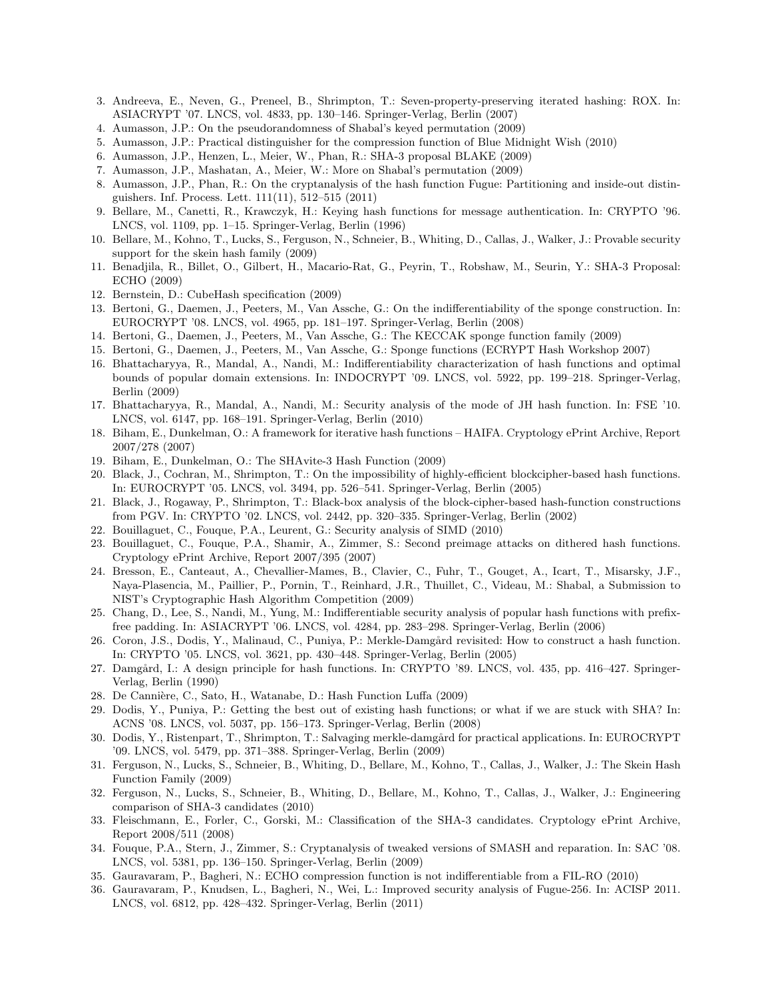- <span id="page-13-4"></span>3. Andreeva, E., Neven, G., Preneel, B., Shrimpton, T.: Seven-property-preserving iterated hashing: ROX. In: ASIACRYPT '07. LNCS, vol. 4833, pp. 130–146. Springer-Verlag, Berlin (2007)
- <span id="page-13-26"></span>4. Aumasson, J.P.: On the pseudorandomness of Shabal's keyed permutation (2009)
- <span id="page-13-14"></span>5. Aumasson, J.P.: Practical distinguisher for the compression function of Blue Midnight Wish (2010)
- <span id="page-13-13"></span>6. Aumasson, J.P., Henzen, L., Meier, W., Phan, R.: SHA-3 proposal BLAKE (2009)
- <span id="page-13-27"></span>7. Aumasson, J.P., Mashatan, A., Meier, W.: More on Shabal's permutation (2009)
- <span id="page-13-18"></span>8. Aumasson, J.P., Phan, R.: On the cryptanalysis of the hash function Fugue: Partitioning and inside-out distinguishers. Inf. Process. Lett. 111(11), 512–515 (2011)
- <span id="page-13-12"></span>9. Bellare, M., Canetti, R., Krawczyk, H.: Keying hash functions for message authentication. In: CRYPTO '96. LNCS, vol. 1109, pp. 1–15. Springer-Verlag, Berlin (1996)
- <span id="page-13-31"></span>10. Bellare, M., Kohno, T., Lucks, S., Ferguson, N., Schneier, B., Whiting, D., Callas, J., Walker, J.: Provable security support for the skein hash family (2009)
- <span id="page-13-16"></span>11. Benadjila, R., Billet, O., Gilbert, H., Macario-Rat, G., Peyrin, T., Robshaw, M., Seurin, Y.: SHA-3 Proposal: ECHO (2009)
- <span id="page-13-15"></span>12. Bernstein, D.: CubeHash specification (2009)
- <span id="page-13-23"></span>13. Bertoni, G., Daemen, J., Peeters, M., Van Assche, G.: On the indifferentiability of the sponge construction. In: EUROCRYPT '08. LNCS, vol. 4965, pp. 181–197. Springer-Verlag, Berlin (2008)
- <span id="page-13-22"></span>14. Bertoni, G., Daemen, J., Peeters, M., Van Assche, G.: The KECCAK sponge function family (2009)
- <span id="page-13-11"></span>15. Bertoni, G., Daemen, J., Peeters, M., Van Assche, G.: Sponge functions (ECRYPT Hash Workshop 2007)
- <span id="page-13-9"></span>16. Bhattacharyya, R., Mandal, A., Nandi, M.: Indifferentiability characterization of hash functions and optimal bounds of popular domain extensions. In: INDOCRYPT '09. LNCS, vol. 5922, pp. 199–218. Springer-Verlag, Berlin (2009)
- <span id="page-13-21"></span>17. Bhattacharyya, R., Mandal, A., Nandi, M.: Security analysis of the mode of JH hash function. In: FSE '10. LNCS, vol. 6147, pp. 168–191. Springer-Verlag, Berlin (2010)
- <span id="page-13-8"></span>18. Biham, E., Dunkelman, O.: A framework for iterative hash functions – HAIFA. Cryptology ePrint Archive, Report 2007/278 (2007)
- <span id="page-13-28"></span>19. Biham, E., Dunkelman, O.: The SHAvite-3 Hash Function (2009)
- <span id="page-13-6"></span>20. Black, J., Cochran, M., Shrimpton, T.: On the impossibility of highly-efficient blockcipher-based hash functions. In: EUROCRYPT '05. LNCS, vol. 3494, pp. 526–541. Springer-Verlag, Berlin (2005)
- <span id="page-13-5"></span>21. Black, J., Rogaway, P., Shrimpton, T.: Black-box analysis of the block-cipher-based hash-function constructions from PGV. In: CRYPTO '02. LNCS, vol. 2442, pp. 320–335. Springer-Verlag, Berlin (2002)
- <span id="page-13-29"></span>22. Bouillaguet, C., Fouque, P.A., Leurent, G.: Security analysis of SIMD (2010)
- <span id="page-13-10"></span>23. Bouillaguet, C., Fouque, P.A., Shamir, A., Zimmer, S.: Second preimage attacks on dithered hash functions. Cryptology ePrint Archive, Report 2007/395 (2007)
- <span id="page-13-25"></span>24. Bresson, E., Canteaut, A., Chevallier-Mames, B., Clavier, C., Fuhr, T., Gouget, A., Icart, T., Misarsky, J.F., Naya-Plasencia, M., Paillier, P., Pornin, T., Reinhard, J.R., Thuillet, C., Videau, M.: Shabal, a Submission to NIST's Cryptographic Hash Algorithm Competition (2009)
- <span id="page-13-7"></span>25. Chang, D., Lee, S., Nandi, M., Yung, M.: Indifferentiable security analysis of popular hash functions with prefixfree padding. In: ASIACRYPT '06. LNCS, vol. 4284, pp. 283–298. Springer-Verlag, Berlin (2006)
- <span id="page-13-3"></span>26. Coron, J.S., Dodis, Y., Malinaud, C., Puniya, P.: Merkle-Damgård revisited: How to construct a hash function. In: CRYPTO '05. LNCS, vol. 3621, pp. 430–448. Springer-Verlag, Berlin (2005)
- <span id="page-13-2"></span>27. Damgård, I.: A design principle for hash functions. In: CRYPTO '89. LNCS, vol. 435, pp. 416–427. Springer-Verlag, Berlin (1990)
- <span id="page-13-24"></span>28. De Cannière, C., Sato, H., Watanabe, D.: Hash Function Luffa (2009)
- <span id="page-13-33"></span>29. Dodis, Y., Puniya, P.: Getting the best out of existing hash functions; or what if we are stuck with SHA? In: ACNS '08. LNCS, vol. 5037, pp. 156–173. Springer-Verlag, Berlin (2008)
- <span id="page-13-32"></span>30. Dodis, Y., Ristenpart, T., Shrimpton, T.: Salvaging merkle-damgård for practical applications. In: EUROCRYPT '09. LNCS, vol. 5479, pp. 371–388. Springer-Verlag, Berlin (2009)
- <span id="page-13-30"></span>31. Ferguson, N., Lucks, S., Schneier, B., Whiting, D., Bellare, M., Kohno, T., Callas, J., Walker, J.: The Skein Hash Function Family (2009)
- <span id="page-13-1"></span>32. Ferguson, N., Lucks, S., Schneier, B., Whiting, D., Bellare, M., Kohno, T., Callas, J., Walker, J.: Engineering comparison of SHA-3 candidates (2010)
- <span id="page-13-0"></span>33. Fleischmann, E., Forler, C., Gorski, M.: Classification of the SHA-3 candidates. Cryptology ePrint Archive, Report 2008/511 (2008)
- <span id="page-13-20"></span>34. Fouque, P.A., Stern, J., Zimmer, S.: Cryptanalysis of tweaked versions of SMASH and reparation. In: SAC '08. LNCS, vol. 5381, pp. 136–150. Springer-Verlag, Berlin (2009)
- <span id="page-13-17"></span>35. Gauravaram, P., Bagheri, N.: ECHO compression function is not indifferentiable from a FIL-RO (2010)
- <span id="page-13-19"></span>36. Gauravaram, P., Knudsen, L., Bagheri, N., Wei, L.: Improved security analysis of Fugue-256. In: ACISP 2011. LNCS, vol. 6812, pp. 428–432. Springer-Verlag, Berlin (2011)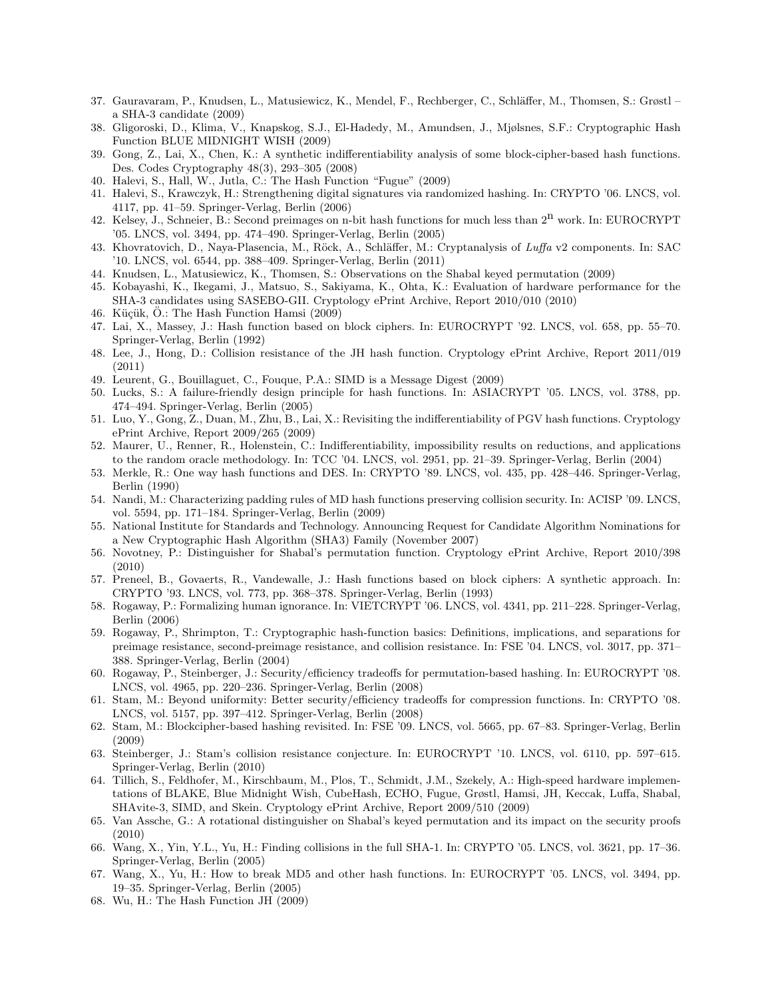- <span id="page-14-22"></span>37. Gauravaram, P., Knudsen, L., Matusiewicz, K., Mendel, F., Rechberger, C., Schläffer, M., Thomsen, S.: Grøstl – a SHA-3 candidate (2009)
- <span id="page-14-20"></span>38. Gligoroski, D., Klima, V., Knapskog, S.J., El-Hadedy, M., Amundsen, J., Mjølsnes, S.F.: Cryptographic Hash Function BLUE MIDNIGHT WISH (2009)
- <span id="page-14-16"></span>39. Gong, Z., Lai, X., Chen, K.: A synthetic indifferentiability analysis of some block-cipher-based hash functions. Des. Codes Cryptography 48(3), 293–305 (2008)
- <span id="page-14-21"></span>40. Halevi, S., Hall, W., Jutla, C.: The Hash Function "Fugue" (2009)
- <span id="page-14-19"></span>41. Halevi, S., Krawczyk, H.: Strengthening digital signatures via randomized hashing. In: CRYPTO '06. LNCS, vol. 4117, pp. 41–59. Springer-Verlag, Berlin (2006)
- <span id="page-14-13"></span>42. Kelsey, J., Schneier, B.: Second preimages on n-bit hash functions for much less than  $2<sup>n</sup>$  work. In: EUROCRYPT '05. LNCS, vol. 3494, pp. 474–490. Springer-Verlag, Berlin (2005)
- <span id="page-14-26"></span>43. Khovratovich, D., Naya-Plasencia, M., Röck, A., Schläffer, M.: Cryptanalysis of Luffa v2 components. In: SAC '10. LNCS, vol. 6544, pp. 388–409. Springer-Verlag, Berlin (2011)
- <span id="page-14-27"></span>44. Knudsen, L., Matusiewicz, K., Thomsen, S.: Observations on the Shabal keyed permutation (2009)
- <span id="page-14-3"></span>45. Kobayashi, K., Ikegami, J., Matsuo, S., Sakiyama, K., Ohta, K.: Evaluation of hardware performance for the SHA-3 candidates using SASEBO-GII. Cryptology ePrint Archive, Report 2010/010 (2010)
- <span id="page-14-23"></span>46. Küçük, Ö.: The Hash Function Hamsi (2009)
- <span id="page-14-15"></span>47. Lai, X., Massey, J.: Hash function based on block ciphers. In: EUROCRYPT '92. LNCS, vol. 658, pp. 55–70. Springer-Verlag, Berlin (1992)
- <span id="page-14-25"></span>48. Lee, J., Hong, D.: Collision resistance of the JH hash function. Cryptology ePrint Archive, Report 2011/019 (2011)
- <span id="page-14-30"></span>49. Leurent, G., Bouillaguet, C., Fouque, P.A.: SIMD is a Message Digest (2009)
- <span id="page-14-18"></span>50. Lucks, S.: A failure-friendly design principle for hash functions. In: ASIACRYPT '05. LNCS, vol. 3788, pp. 474–494. Springer-Verlag, Berlin (2005)
- <span id="page-14-17"></span>51. Luo, Y., Gong, Z., Duan, M., Zhu, B., Lai, X.: Revisiting the indifferentiability of PGV hash functions. Cryptology ePrint Archive, Report 2009/265 (2009)
- <span id="page-14-6"></span>52. Maurer, U., Renner, R., Holenstein, C.: Indifferentiability, impossibility results on reductions, and applications to the random oracle methodology. In: TCC '04. LNCS, vol. 2951, pp. 21–39. Springer-Verlag, Berlin (2004)
- <span id="page-14-5"></span>53. Merkle, R.: One way hash functions and DES. In: CRYPTO '89. LNCS, vol. 435, pp. 428–446. Springer-Verlag, Berlin (1990)
- <span id="page-14-31"></span>54. Nandi, M.: Characterizing padding rules of MD hash functions preserving collision security. In: ACISP '09. LNCS, vol. 5594, pp. 171–184. Springer-Verlag, Berlin (2009)
- <span id="page-14-4"></span>55. National Institute for Standards and Technology. Announcing Request for Candidate Algorithm Nominations for a New Cryptographic Hash Algorithm (SHA3) Family (November 2007)
- <span id="page-14-28"></span>56. Novotney, P.: Distinguisher for Shabal's permutation function. Cryptology ePrint Archive, Report 2010/398 (2010)
- <span id="page-14-9"></span>57. Preneel, B., Govaerts, R., Vandewalle, J.: Hash functions based on block ciphers: A synthetic approach. In: CRYPTO '93. LNCS, vol. 773, pp. 368–378. Springer-Verlag, Berlin (1993)
- <span id="page-14-8"></span>58. Rogaway, P.: Formalizing human ignorance. In: VIETCRYPT '06. LNCS, vol. 4341, pp. 211–228. Springer-Verlag, Berlin (2006)
- <span id="page-14-7"></span>59. Rogaway, P., Shrimpton, T.: Cryptographic hash-function basics: Definitions, implications, and separations for preimage resistance, second-preimage resistance, and collision resistance. In: FSE '04. LNCS, vol. 3017, pp. 371– 388. Springer-Verlag, Berlin (2004)
- <span id="page-14-11"></span>60. Rogaway, P., Steinberger, J.: Security/efficiency tradeoffs for permutation-based hashing. In: EUROCRYPT '08. LNCS, vol. 4965, pp. 220–236. Springer-Verlag, Berlin (2008)
- <span id="page-14-12"></span>61. Stam, M.: Beyond uniformity: Better security/efficiency tradeoffs for compression functions. In: CRYPTO '08. LNCS, vol. 5157, pp. 397–412. Springer-Verlag, Berlin (2008)
- <span id="page-14-10"></span>62. Stam, M.: Blockcipher-based hashing revisited. In: FSE '09. LNCS, vol. 5665, pp. 67–83. Springer-Verlag, Berlin (2009)
- <span id="page-14-14"></span>63. Steinberger, J.: Stam's collision resistance conjecture. In: EUROCRYPT '10. LNCS, vol. 6110, pp. 597–615. Springer-Verlag, Berlin (2010)
- <span id="page-14-2"></span>64. Tillich, S., Feldhofer, M., Kirschbaum, M., Plos, T., Schmidt, J.M., Szekely, A.: High-speed hardware implementations of BLAKE, Blue Midnight Wish, CubeHash, ECHO, Fugue, Grøstl, Hamsi, JH, Keccak, Luffa, Shabal, SHAvite-3, SIMD, and Skein. Cryptology ePrint Archive, Report 2009/510 (2009)
- <span id="page-14-29"></span>65. Van Assche, G.: A rotational distinguisher on Shabal's keyed permutation and its impact on the security proofs (2010)
- <span id="page-14-0"></span>66. Wang, X., Yin, Y.L., Yu, H.: Finding collisions in the full SHA-1. In: CRYPTO '05. LNCS, vol. 3621, pp. 17–36. Springer-Verlag, Berlin (2005)
- <span id="page-14-1"></span>67. Wang, X., Yu, H.: How to break MD5 and other hash functions. In: EUROCRYPT '05. LNCS, vol. 3494, pp. 19–35. Springer-Verlag, Berlin (2005)
- <span id="page-14-24"></span>68. Wu, H.: The Hash Function JH (2009)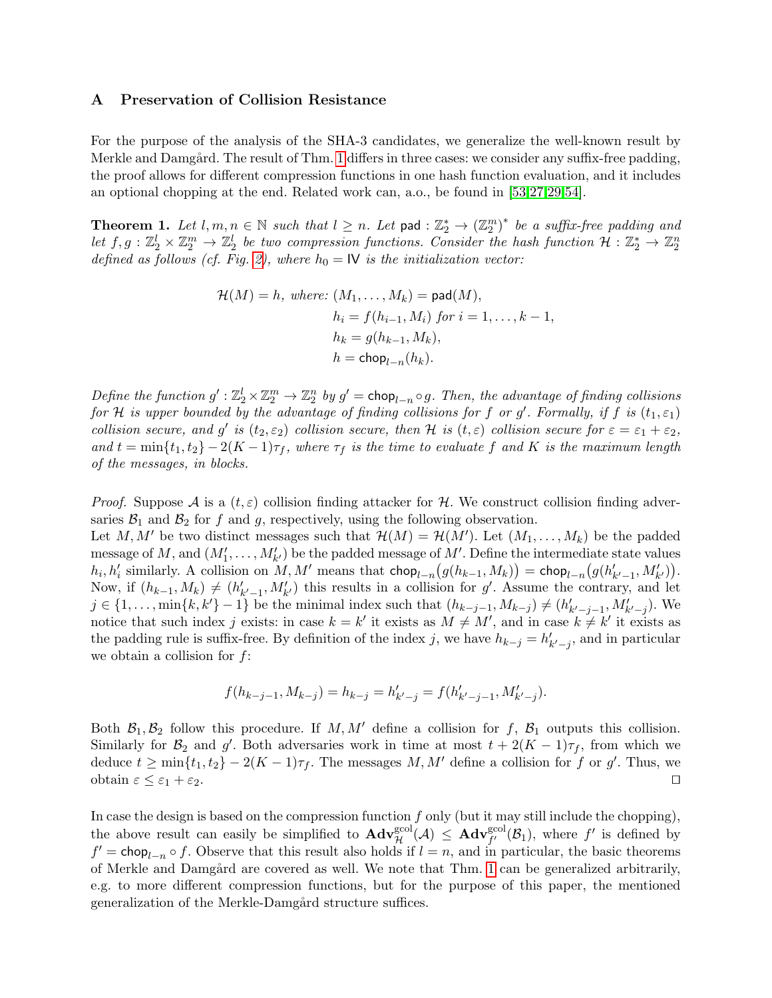## <span id="page-15-0"></span>A Preservation of Collision Resistance

For the purpose of the analysis of the SHA-3 candidates, we generalize the well-known result by Merkle and Damgård. The result of Thm. [1](#page-15-1) differs in three cases: we consider any suffix-free padding, the proof allows for different compression functions in one hash function evaluation, and it includes an optional chopping at the end. Related work can, a.o., be found in [\[53](#page-14-5)[,27,](#page-13-2)[29,](#page-13-33)[54\]](#page-14-31).

**Theorem 1.** Let  $l, m, n \in \mathbb{N}$  such that  $l \geq n$ . Let pad :  $\mathbb{Z}_2^* \to (\mathbb{Z}_2^m)^*$  be a suffix-free padding and Let  $f, g: \mathbb{Z}_2^l \times \mathbb{Z}_2^m \to \mathbb{Z}_2^l$  be two compression functions. Consider the hash function  $\mathcal{H}: \mathbb{Z}_2^* \to \mathbb{Z}_2^n$ defined as follows (cf. Fig. [2\)](#page-16-3), where  $h_0 = \mathsf{IV}$  is the initialization vector:

<span id="page-15-1"></span>
$$
\mathcal{H}(M) = h, \text{ where: } (M_1, \dots, M_k) = \text{pad}(M),
$$

$$
h_i = f(h_{i-1}, M_i) \text{ for } i = 1, \dots, k-1,
$$

$$
h_k = g(h_{k-1}, M_k),
$$

$$
h = \text{chop}_{l-n}(h_k).
$$

Define the function  $g': \mathbb{Z}_2^l \times \mathbb{Z}_2^m \to \mathbb{Z}_2^n$  by  $g' = \text{chop}_{l-n} \circ g$ . Then, the advantage of finding collisions for H is upper bounded by the advantage of finding collisions for f or g'. Formally, if f is  $(t_1, \varepsilon_1)$ collision secure, and g' is  $(t_2, \varepsilon_2)$  collision secure, then H is  $(t, \varepsilon)$  collision secure for  $\varepsilon = \varepsilon_1 + \varepsilon_2$ , and  $t = \min\{t_1, t_2\} - 2(K - 1)\tau_f$ , where  $\tau_f$  is the time to evaluate f and K is the maximum length of the messages, in blocks.

*Proof.* Suppose A is a  $(t, \varepsilon)$  collision finding attacker for H. We construct collision finding adversaries  $\mathcal{B}_1$  and  $\mathcal{B}_2$  for f and g, respectively, using the following observation.

Let M, M' be two distinct messages such that  $\mathcal{H}(M) = \mathcal{H}(M')$ . Let  $(M_1, \ldots, M_k)$  be the padded message of  $M$ , and  $(M'_1, \ldots, M'_{k'})$  be the padded message of  $M'.$  Define the intermediate state values  $h_i, h'_i$  similarly. A collision on  $M, M'$  means that  $\mathsf{chop}_{l-n}(g(h_{k-1}, M_k)) = \mathsf{chop}_{l-n}(g(h'_{k'-1}, M'_{k'})).$ Now, if  $(h_{k-1}, M_k) \neq (h'_{k'-1}, M'_{k'})$  this results in a collision for g'. Assume the contrary, and let  $j \in \{1, ..., \min\{k, k'\} - 1\}$  be the minimal index such that  $(h_{k-j-1}, M_{k-j}) \neq (h'_{k'-j-1}, M'_{k'-j})$ . We notice that such index j exists: in case  $k = k'$  it exists as  $M \neq M'$ , and in case  $k \neq k'$  it exists as the padding rule is suffix-free. By definition of the index j, we have  $h_{k-j} = h'_{k'-j}$ , and in particular we obtain a collision for  $f$ :

$$
f(h_{k-j-1}, M_{k-j}) = h_{k-j} = h'_{k'-j} = f(h'_{k'-j-1}, M'_{k'-j}).
$$

Both  $\mathcal{B}_1, \mathcal{B}_2$  follow this procedure. If M, M' define a collision for f,  $\mathcal{B}_1$  outputs this collision. Similarly for  $\mathcal{B}_2$  and g'. Both adversaries work in time at most  $t + 2(K - 1)\tau_f$ , from which we deduce  $t \ge \min\{t_1, t_2\} - 2(K - 1)\tau_f$ . The messages M, M' define a collision for f or g'. Thus, we obtain  $\varepsilon \leq \varepsilon_1 + \varepsilon_2$ .

In case the design is based on the compression function  $f$  only (but it may still include the chopping), the above result can easily be simplified to  $\mathbf{Adv}_{\mathcal{H}}^{\text{gcd}}(\mathcal{A}) \leq \mathbf{Adv}_{f'}^{\text{gcd}}(\mathcal{B}_1)$ , where f' is defined by  $f' = \text{chop}_{l-n} \circ f$ . Observe that this result also holds if  $l = n$ , and in particular, the basic theorems of Merkle and Damgård are covered as well. We note that Thm. [1](#page-15-1) can be generalized arbitrarily, e.g. to more different compression functions, but for the purpose of this paper, the mentioned generalization of the Merkle-Damgård structure suffices.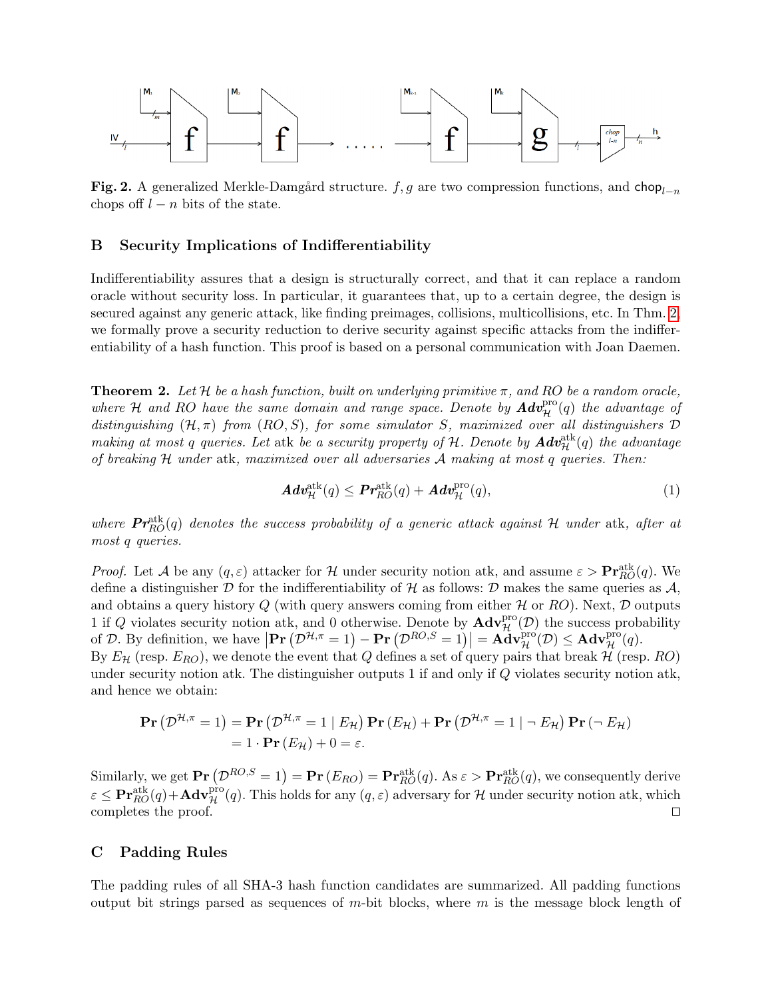

<span id="page-16-3"></span>Fig. 2. A generalized Merkle-Damgård structure. f, g are two compression functions, and chop<sub>l−n</sub> chops off  $l - n$  bits of the state.

## <span id="page-16-0"></span>B Security Implications of Indifferentiability

Indifferentiability assures that a design is structurally correct, and that it can replace a random oracle without security loss. In particular, it guarantees that, up to a certain degree, the design is secured against any generic attack, like finding preimages, collisions, multicollisions, etc. In Thm. [2,](#page-16-1) we formally prove a security reduction to derive security against specific attacks from the indifferentiability of a hash function. This proof is based on a personal communication with Joan Daemen.

<span id="page-16-1"></span>**Theorem 2.** Let H be a hash function, built on underlying primitive  $\pi$ , and RO be a random oracle, where H and RO have the same domain and range space. Denote by  $\boldsymbol{Adv}^{\text{pro}}_{\mathcal{H}}(q)$  the advantage of distinguishing  $(\mathcal{H}, \pi)$  from  $(RO, S)$ , for some simulator S, maximized over all distinguishers  $\mathcal D$ making at most q queries. Let atk be a security property of H. Denote by  $\pmb{Adv}^{\text{atk}}_{\mathcal{H}}(q)$  the advantage of breaking H under atk, maximized over all adversaries A making at most q queries. Then:

$$
\boldsymbol{Adv}_{\mathcal{H}}^{\text{atk}}(q) \le \boldsymbol{Pr}_{RO}^{\text{atk}}(q) + \boldsymbol{Adv}_{\mathcal{H}}^{\text{pro}}(q),\tag{1}
$$

where  $Pr_{RO}^{atk}(q)$  denotes the success probability of a generic attack against H under atk, after at most q queries.

*Proof.* Let A be any  $(q, \varepsilon)$  attacker for H under security notion atk, and assume  $\varepsilon > \mathbf{Pr}_{RO}^{atk}(q)$ . We define a distinguisher D for the indifferentiability of H as follows: D makes the same queries as  $A$ , and obtains a query history  $Q$  (with query answers coming from either  $H$  or  $RO$ ). Next,  $D$  outputs 1 if Q violates security notion atk, and 0 otherwise. Denote by  $\mathbf{Adv}_{\mathcal{H}}^{\text{pro}}(\mathcal{D})$  the success probability of D. By definition, we have  $|\mathbf{Pr}(\mathcal{D}^{\mathcal{H},\pi}=1)-\mathbf{Pr}(\mathcal{D}^{RO,S}=1)|=\mathbf{Adv}_{\mathcal{H}}^{\text{pro}}(\mathcal{D})\leq \mathbf{Adv}_{\mathcal{H}}^{\text{pro}}(q).$ By  $E_{\mathcal{H}}$  (resp.  $E_{RO}$ ), we denote the event that Q defines a set of query pairs that break  $\mathcal{H}$  (resp. RO)

under security notion atk. The distinguisher outputs 1 if and only if Q violates security notion atk, and hence we obtain:

$$
\mathbf{Pr}\left(\mathcal{D}^{\mathcal{H},\pi}=1\right) = \mathbf{Pr}\left(\mathcal{D}^{\mathcal{H},\pi}=1 \mid E_{\mathcal{H}}\right) \mathbf{Pr}\left(E_{\mathcal{H}}\right) + \mathbf{Pr}\left(\mathcal{D}^{\mathcal{H},\pi}=1 \mid \neg E_{\mathcal{H}}\right) \mathbf{Pr}\left(\neg E_{\mathcal{H}}\right)
$$

$$
= 1 \cdot \mathbf{Pr}\left(E_{\mathcal{H}}\right) + 0 = \varepsilon.
$$

Similarly, we get  $\mathbf{Pr}(\mathcal{D}^{RO,S} = 1) = \mathbf{Pr}(E_{RO}) = \mathbf{Pr}_{RO}^{atk}(q)$ . As  $\varepsilon > \mathbf{Pr}_{RO}^{atk}(q)$ , we consequently derive  $\varepsilon \leq \mathbf{Pr}_{RO}^{\text{atk}}(q) + \mathbf{Adv}_{\mathcal{H}}^{\text{pro}}(q)$ . This holds for any  $(q, \varepsilon)$  adversary for H under security notion atk, which completes the proof.  $\Box$ 

# <span id="page-16-2"></span>C Padding Rules

The padding rules of all SHA-3 hash function candidates are summarized. All padding functions output bit strings parsed as sequences of m-bit blocks, where  $m$  is the message block length of